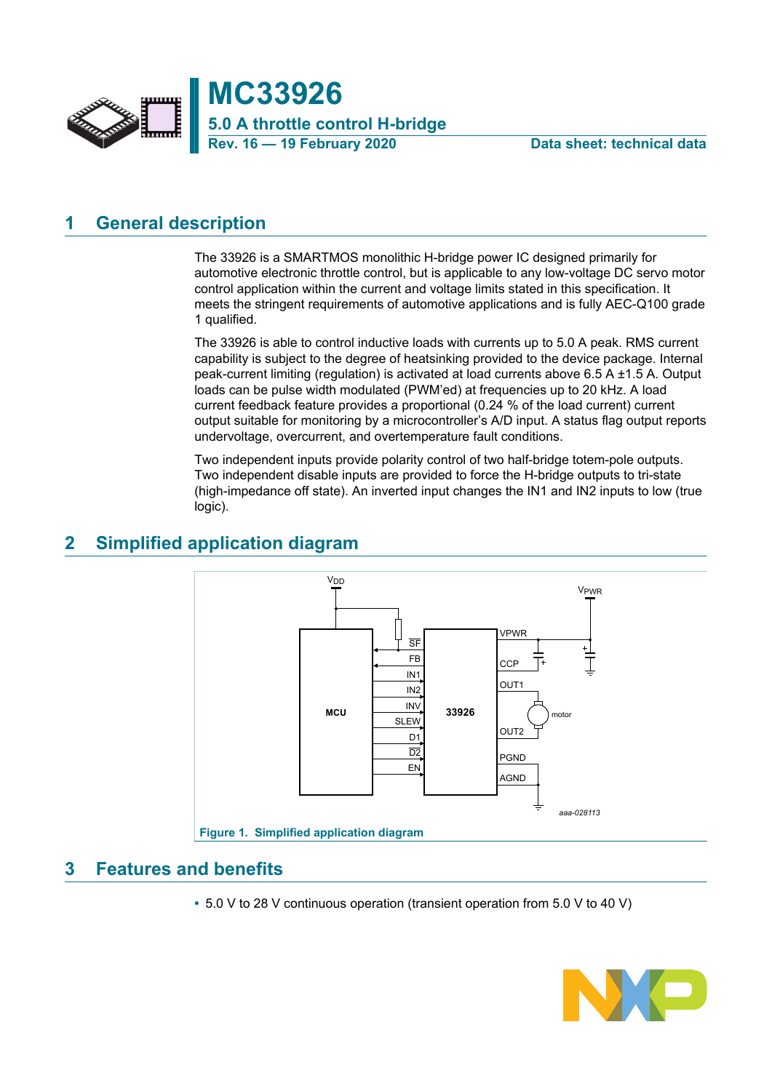

## <span id="page-0-0"></span>**1 General description**

The 33926 is a SMARTMOS monolithic H-bridge power IC designed primarily for automotive electronic throttle control, but is applicable to any low-voltage DC servo motor control application within the current and voltage limits stated in this specification. It meets the stringent requirements of automotive applications and is fully AEC-Q100 grade 1 qualified.

The 33926 is able to control inductive loads with currents up to 5.0 A peak. RMS current capability is subject to the degree of heatsinking provided to the device package. Internal peak-current limiting (regulation) is activated at load currents above 6.5 A ±1.5 A. Output loads can be pulse width modulated (PWM'ed) at frequencies up to 20 kHz. A load current feedback feature provides a proportional (0.24 % of the load current) current output suitable for monitoring by a microcontroller's A/D input. A status flag output reports undervoltage, overcurrent, and overtemperature fault conditions.

Two independent inputs provide polarity control of two half-bridge totem-pole outputs. Two independent disable inputs are provided to force the H-bridge outputs to tri-state (high-impedance off state). An inverted input changes the IN1 and IN2 inputs to low (true logic).

## <span id="page-0-3"></span>**2 Simplified application diagram**

<span id="page-0-2"></span>

## <span id="page-0-1"></span>**3 Features and benefits**

**•** 5.0 V to 28 V continuous operation (transient operation from 5.0 V to 40 V)

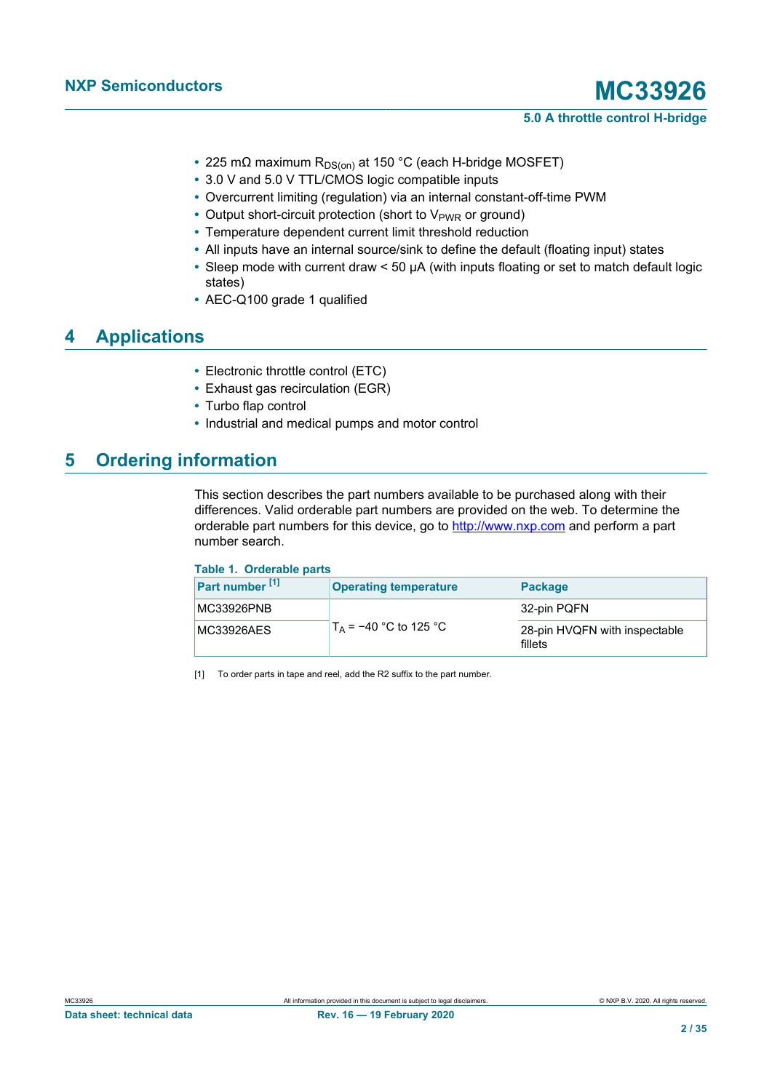- <span id="page-1-0"></span>• 225 mΩ maximum R<sub>DS(on)</sub> at 150 °C (each H-bridge MOSFET)
- **•** 3.0 V and 5.0 V TTL/CMOS logic compatible inputs
- **•** Overcurrent limiting (regulation) via an internal constant-off-time PWM
- Output short-circuit protection (short to V<sub>PWR</sub> or ground)
- **•** Temperature dependent current limit threshold reduction
- **•** All inputs have an internal source/sink to define the default (floating input) states
- **•** Sleep mode with current draw < 50 µA (with inputs floating or set to match default logic states)
- **•** AEC-Q100 grade 1 qualified

## <span id="page-1-2"></span>**4 Applications**

- **•** Electronic throttle control (ETC)
- **•** Exhaust gas recirculation (EGR)
- **•** Turbo flap control
- **•** Industrial and medical pumps and motor control

## <span id="page-1-3"></span>**5 Ordering information**

This section describes the part numbers available to be purchased along with their differences. Valid orderable part numbers are provided on the web. To determine the orderable part numbers for this device, go to <http://www.nxp.com> and perform a part number search.

<span id="page-1-1"></span>

| Table 1. Orderable parts   |                              |                                          |
|----------------------------|------------------------------|------------------------------------------|
| Part number <sup>[1]</sup> | <b>Operating temperature</b> | Package                                  |
| MC33926PNB                 |                              | 32-pin PQFN                              |
| MC33926AES                 | $T_A$ = -40 °C to 125 °C     | 28-pin HVQFN with inspectable<br>fillets |

[1] To order parts in tape and reel, add the R2 suffix to the part number.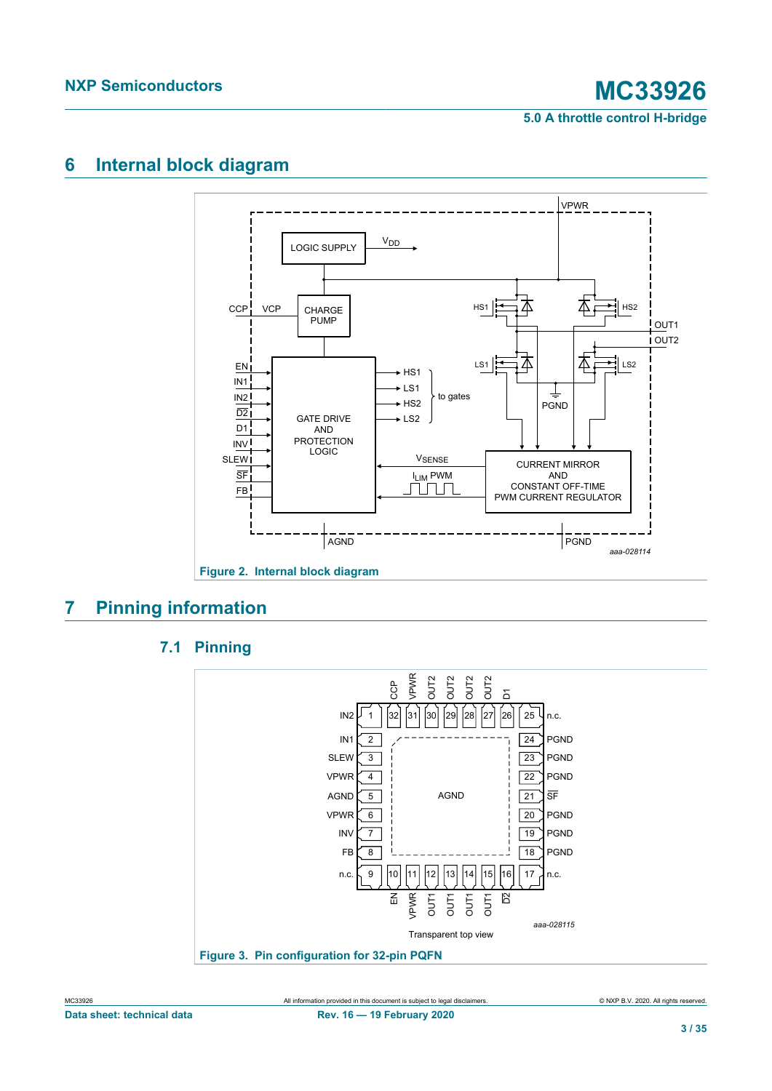## <span id="page-2-3"></span>**6 Internal block diagram**

<span id="page-2-1"></span>

## <span id="page-2-4"></span>**7 Pinning information**

<span id="page-2-2"></span><span id="page-2-0"></span>

### **7.1 Pinning**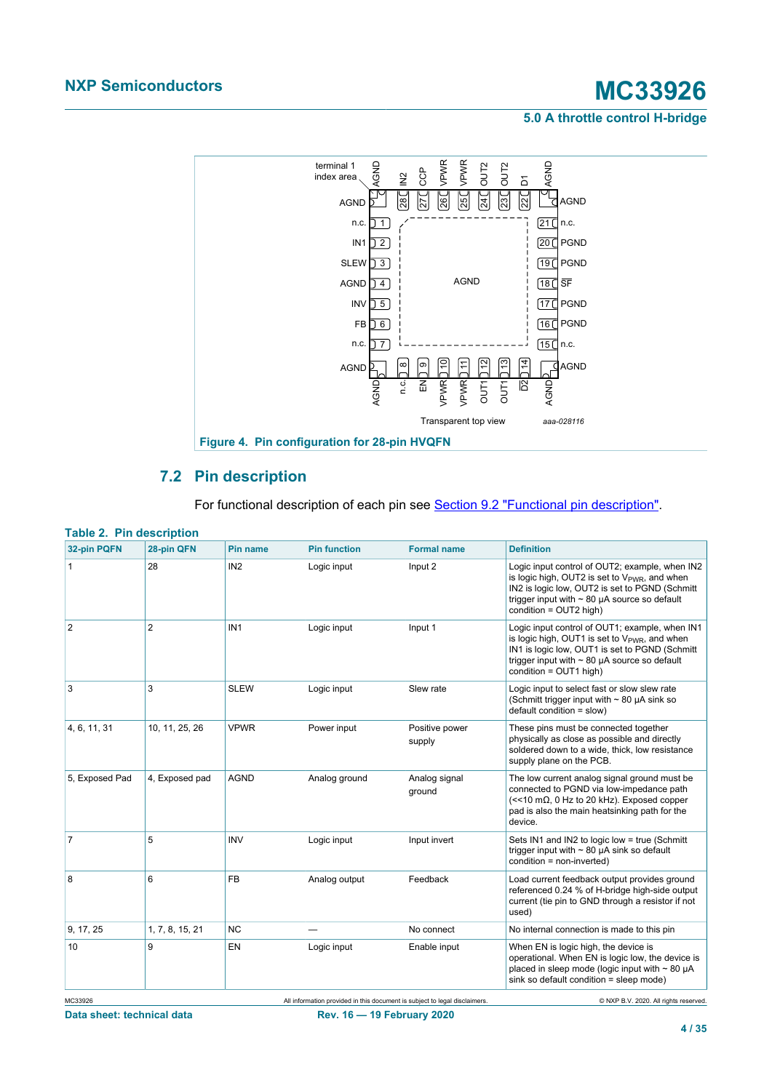<span id="page-3-0"></span>

### **7.2 Pin description**

<span id="page-3-2"></span><span id="page-3-1"></span>For functional description of each pin see [Section 9.2 "Functional pin description"](#page-10-0).

| <b>Table 2. Pin description</b> |                 |                 |                     |                          |                                                                                                                                                                                                                                                    |
|---------------------------------|-----------------|-----------------|---------------------|--------------------------|----------------------------------------------------------------------------------------------------------------------------------------------------------------------------------------------------------------------------------------------------|
| 32-pin PQFN                     | 28-pin QFN      | Pin name        | <b>Pin function</b> | <b>Formal name</b>       | <b>Definition</b>                                                                                                                                                                                                                                  |
| $\mathbf{1}$                    | 28              | IN2             | Logic input         | Input 2                  | Logic input control of OUT2; example, when IN2<br>is logic high, OUT2 is set to V <sub>PWR</sub> , and when<br>IN2 is logic low, OUT2 is set to PGND (Schmitt)<br>trigger input with $\sim$ 80 $\mu$ A source so default<br>condition = OUT2 high) |
| $\overline{2}$                  | $\overline{2}$  | IN <sub>1</sub> | Logic input         | Input 1                  | Logic input control of OUT1; example, when IN1<br>is logic high, OUT1 is set to $V_{\text{PWR}}$ , and when<br>IN1 is logic low, OUT1 is set to PGND (Schmitt<br>trigger input with $\sim$ 80 $\mu$ A source so default<br>condition = OUT1 high)  |
| 3                               | 3               | <b>SLEW</b>     | Logic input         | Slew rate                | Logic input to select fast or slow slew rate<br>(Schmitt trigger input with $\sim$ 80 µA sink so<br>$default condition = slow)$                                                                                                                    |
| 4, 6, 11, 31                    | 10, 11, 25, 26  | <b>VPWR</b>     | Power input         | Positive power<br>supply | These pins must be connected together<br>physically as close as possible and directly<br>soldered down to a wide, thick, low resistance<br>supply plane on the PCB.                                                                                |
| 5, Exposed Pad                  | 4, Exposed pad  | <b>AGND</b>     | Analog ground       | Analog signal<br>ground  | The low current analog signal ground must be<br>connected to PGND via low-impedance path<br>$\approx$ 10 m $\Omega$ , 0 Hz to 20 kHz). Exposed copper<br>pad is also the main heatsinking path for the<br>device.                                  |
| $\overline{7}$                  | 5               | <b>INV</b>      | Logic input         | Input invert             | Sets IN1 and IN2 to logic low = true (Schmitt<br>trigger input with $\sim$ 80 $\mu$ A sink so default<br>$condition = non-inverted)$                                                                                                               |
| 8                               | 6               | <b>FB</b>       | Analog output       | Feedback                 | Load current feedback output provides ground<br>referenced 0.24 % of H-bridge high-side output<br>current (tie pin to GND through a resistor if not<br>used)                                                                                       |
| 9, 17, 25                       | 1, 7, 8, 15, 21 | <b>NC</b>       |                     | No connect               | No internal connection is made to this pin                                                                                                                                                                                                         |
| 10                              | 9               | EN              | Logic input         | Enable input             | When EN is logic high, the device is<br>operational. When EN is logic low, the device is<br>placed in sleep mode (logic input with $\sim$ 80 $\mu$ A<br>sink so default condition = sleep mode)                                                    |

**4 / 35**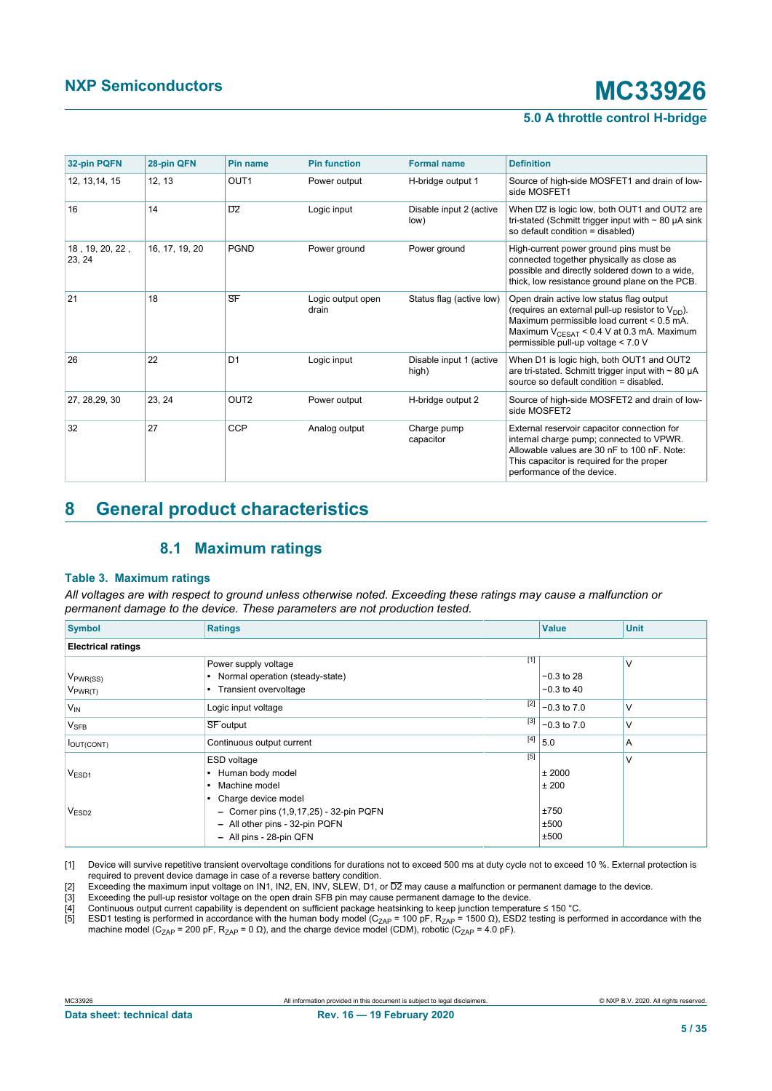<span id="page-4-4"></span><span id="page-4-3"></span><span id="page-4-2"></span><span id="page-4-1"></span><span id="page-4-0"></span>

| 32-pin PQFN               | 28-pin QFN     | Pin name         | <b>Pin function</b>        | <b>Formal name</b>               | <b>Definition</b>                                                                                                                                                                                                                        |
|---------------------------|----------------|------------------|----------------------------|----------------------------------|------------------------------------------------------------------------------------------------------------------------------------------------------------------------------------------------------------------------------------------|
| 12, 13, 14, 15            | 12, 13         | OUT <sub>1</sub> | Power output               | H-bridge output 1                | Source of high-side MOSFET1 and drain of low-<br>side MOSFET1                                                                                                                                                                            |
| 16                        | 14             | D <sub>2</sub>   | Logic input                | Disable input 2 (active<br>low)  | When $\overline{D2}$ is logic low, both OUT1 and OUT2 are<br>tri-stated (Schmitt trigger input with $\sim$ 80 $\mu$ A sink<br>so default condition = disabled)                                                                           |
| 18, 19, 20, 22,<br>23, 24 | 16, 17, 19, 20 | <b>PGND</b>      | Power ground               | Power ground                     | High-current power ground pins must be<br>connected together physically as close as<br>possible and directly soldered down to a wide,<br>thick, low resistance ground plane on the PCB.                                                  |
| 21                        | 18             | SF               | Logic output open<br>drain | Status flag (active low)         | Open drain active low status flag output<br>(requires an external pull-up resistor to $V_{DD}$ ).<br>Maximum permissible load current < 0.5 mA.<br>Maximum $V_{CESAT}$ < 0.4 V at 0.3 mA. Maximum<br>permissible pull-up voltage < 7.0 V |
| 26                        | 22             | D <sub>1</sub>   | Logic input                | Disable input 1 (active<br>high) | When D1 is logic high, both OUT1 and OUT2<br>are tri-stated. Schmitt trigger input with $\sim$ 80 $\mu$ A<br>source so default condition = disabled.                                                                                     |
| 27, 28, 29, 30            | 23, 24         | OUT <sub>2</sub> | Power output               | H-bridge output 2                | Source of high-side MOSFET2 and drain of low-<br>side MOSFET2                                                                                                                                                                            |
| 32                        | 27             | <b>CCP</b>       | Analog output              | Charge pump<br>capacitor         | External reservoir capacitor connection for<br>internal charge pump; connected to VPWR.<br>Allowable values are 30 nF to 100 nF. Note:<br>This capacitor is required for the proper<br>performance of the device.                        |

## <span id="page-4-6"></span>**8 General product characteristics**

### <span id="page-4-7"></span><span id="page-4-5"></span>**8.1 Maximum ratings**

#### **Table 3. Maximum ratings**

*All voltages are with respect to ground unless otherwise noted. Exceeding these ratings may cause a malfunction or permanent damage to the device. These parameters are not production tested.*

| <b>Symbol</b>                                      | <b>Ratings</b>                                                                                         | <b>Value</b>                 | <b>Unit</b> |
|----------------------------------------------------|--------------------------------------------------------------------------------------------------------|------------------------------|-------------|
| <b>Electrical ratings</b>                          |                                                                                                        |                              |             |
| $V_{\text{PWR}(\text{SS})}$<br>$V_{\text{PWR}(T)}$ | $[1]$<br>Power supply voltage<br>• Normal operation (steady-state)<br>• Transient overvoltage          | $-0.3$ to 28<br>$-0.3$ to 40 | V           |
| $V_{IN}$                                           | $[2]$<br>Logic input voltage                                                                           | $-0.3$ to $7.0$              | V           |
| $V_{SFB}$                                          | SF output                                                                                              | $\sqrt{3}$ -0.3 to 7.0       | ٧           |
| <b>I</b> OUT(CONT)                                 | $[4]$<br>Continuous output current                                                                     | 5.0                          | A           |
| $V_{ESD1}$                                         | $[5]$<br>ESD voltage<br>• Human body model<br>Machine model<br>٠<br>• Charge device model              | ± 2000<br>±200               | V           |
| V <sub>ESD2</sub>                                  | - Corner pins $(1,9,17,25)$ - 32-pin PQFN<br>- All other pins - 32-pin PQFN<br>- All pins - 28-pin QFN | ±750<br>±500<br>±500         |             |

[1] Device will survive repetitive transient overvoltage conditions for durations not to exceed 500 ms at duty cycle not to exceed 10 %. External protection is required to prevent device damage in case of a reverse battery condition.

[2] Exceeding the maximum input voltage on IN1, IN2, EN, INV, SLEW, D1, or D2 may cause a malfunction or permanent damage to the device.<br>[3] Exceeding the pull-up resistor voltage on the open drain SFB pin may cause perman

[4] Continuous output current capability is dependent on sufficient package heatsinking to keep junction temperature ≤ 150 °C.

[3] Exceeding the pull-up resistor voltage on the open drain SFB pin may cause permanent damage to the device.<br>
[4] Continuous output current capability is dependent on sufficient package heatsinking to keep junction temp [5]  $\;$  ESD1 testing is performed in accordance with the human body model (C<sub>ZAP</sub> = 100 pF, R<sub>ZAP</sub> = 1500 Ω), ESD2 testing is performed in accordance with the machine model (C<sub>ZAP</sub> = 200 pF, R<sub>ZAP</sub> = 0 Ω), and the charge device model (CDM), robotic (C<sub>ZAP</sub> = 4.0 pF).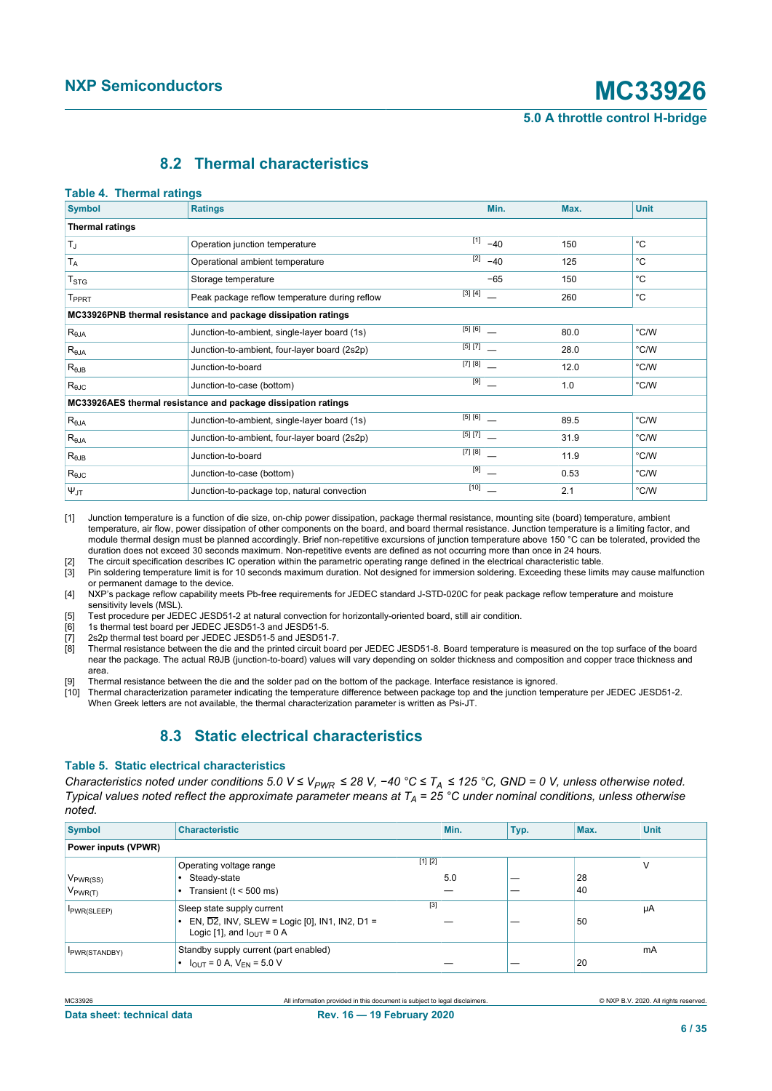### <span id="page-5-12"></span><span id="page-5-11"></span><span id="page-5-2"></span><span id="page-5-1"></span><span id="page-5-0"></span>**8.2 Thermal characteristics**

#### **Table 4. Thermal ratings**

<span id="page-5-9"></span><span id="page-5-8"></span><span id="page-5-7"></span><span id="page-5-6"></span><span id="page-5-5"></span><span id="page-5-4"></span><span id="page-5-3"></span>

| <b>Symbol</b>          | <b>Ratings</b>                                                |           | Min.  | Max. | <b>Unit</b>  |
|------------------------|---------------------------------------------------------------|-----------|-------|------|--------------|
| <b>Thermal ratings</b> |                                                               |           |       |      |              |
| T <sub>J</sub>         | Operation junction temperature                                | $[1]$     | $-40$ | 150  | °C           |
| T <sub>A</sub>         | Operational ambient temperature                               | $[2]$     | $-40$ | 125  | $^{\circ}$ C |
| $T_{\text{STG}}$       | Storage temperature                                           |           | $-65$ | 150  | °C           |
| T <sub>PPRT</sub>      | Peak package reflow temperature during reflow                 | [3] [4]   |       | 260  | °C           |
|                        | MC33926PNB thermal resistance and package dissipation ratings |           |       |      |              |
| $R_{\theta JA}$        | Junction-to-ambient, single-layer board (1s)                  | [5] [6]   |       | 80.0 | °C/W         |
| $R_{\theta JA}$        | Junction-to-ambient, four-layer board (2s2p)                  | $[5] [7]$ |       | 28.0 | °C/W         |
| $R_{\theta$ JB         | Junction-to-board                                             | [7] [8]   |       | 12.0 | °C/W         |
| $R_{\theta JC}$        | Junction-to-case (bottom)                                     | $[9]$     |       | 1.0  | °C/W         |
|                        | MC33926AES thermal resistance and package dissipation ratings |           |       |      |              |
| $R_{\theta$ JA         | Junction-to-ambient, single-layer board (1s)                  | [5] [6]   |       | 89.5 | °C/W         |
| $R_{\theta JA}$        | Junction-to-ambient, four-layer board (2s2p)                  | $[5] [7]$ |       | 31.9 | °C/W         |
| $R_{\theta$ JB         | Junction-to-board                                             | [7] [8]   |       | 11.9 | °C/W         |
| $R_{\theta JC}$        | Junction-to-case (bottom)                                     | $[9]$     |       | 0.53 | °C/W         |
| $\Psi_{\text{JT}}$     | Junction-to-package top, natural convection                   | $[10]$    |       | 2.1  | °C/W         |

[1] Junction temperature is a function of die size, on-chip power dissipation, package thermal resistance, mounting site (board) temperature, ambient temperature, air flow, power dissipation of other components on the board, and board thermal resistance. Junction temperature is a limiting factor, and module thermal design must be planned accordingly. Brief non-repetitive excursions of junction temperature above 150 °C can be tolerated, provided the duration does not exceed 30 seconds maximum. Non-repetitive events are defined as not occurring more than once in 24 hours.

[2] The circuit specification describes IC operation within the parametric operating range defined in the electrical characteristic table. [3] Pin soldering temperature limit is for 10 seconds maximum duration. Not designed for immersion soldering. Exceeding these limits may cause malfunction

or permanent damage to the device. [4] NXP's package reflow capability meets Pb-free requirements for JEDEC standard J-STD-020C for peak package reflow temperature and moisture

sensitivity levels (MSL).

[5] Test procedure per JEDEC JESD51-2 at natural convection for horizontally-oriented board, still air condition.

[6] 1s thermal test board per JEDEC JESD51-3 and JESD51-5.

[7] 2s2p thermal test board per JEDEC JESD51-5 and JESD51-7.

[8] Thermal resistance between the die and the printed circuit board per JEDEC JESD51-8. Board temperature is measured on the top surface of the board near the package. The actual RθJB (junction-to-board) values will vary depending on solder thickness and composition and copper trace thickness and area.

[9] Thermal resistance between the die and the solder pad on the bottom of the package. Interface resistance is ignored.

[10] Thermal characterization parameter indicating the temperature difference between package top and the junction temperature per JEDEC JESD51-2. When Greek letters are not available, the thermal characterization parameter is written as Psi-JT.

## <span id="page-5-13"></span><span id="page-5-10"></span>**8.3 Static electrical characteristics**

#### **Table 5. Static electrical characteristics**

*Characteristics noted under conditions 5.0 V ≤ VPWR ≤ 28 V, −40 °C ≤ TA ≤ 125 °C, GND = 0 V, unless otherwise noted. Typical values noted reflect the approximate parameter means at TA = 25 °C under nominal conditions, unless otherwise noted.*

| <b>Symbol</b>        | <b>Characteristic</b>                                                                                  | Min. | Typ. | Max. | <b>Unit</b> |
|----------------------|--------------------------------------------------------------------------------------------------------|------|------|------|-------------|
| Power inputs (VPWR)  |                                                                                                        |      |      |      |             |
|                      | [1] [2]<br>Operating voltage range                                                                     |      |      |      |             |
| V <sub>PWR(SS)</sub> | Steady-state<br>٠                                                                                      | 5.0  | _    | 28   |             |
| $V_{\text{PWR}(T)}$  | Transient ( $t < 500$ ms)                                                                              |      | _    | 40   |             |
| PWR(SLEEP)           | $[3]$<br>Sleep state supply current                                                                    |      |      |      | μA          |
|                      | • EN, $\overline{D2}$ , INV, SLEW = Logic [0], IN1, IN2, D1 =<br>Logic [1], and $I_{\text{OUT}} = 0$ A |      |      | 50   |             |
| PWR(STANDBY)         | Standby supply current (part enabled)                                                                  |      |      |      | mA          |
|                      | • $I_{\text{OUT}} = 0 \text{ A}, V_{\text{EN}} = 5.0 \text{ V}$                                        |      | --   | 20   |             |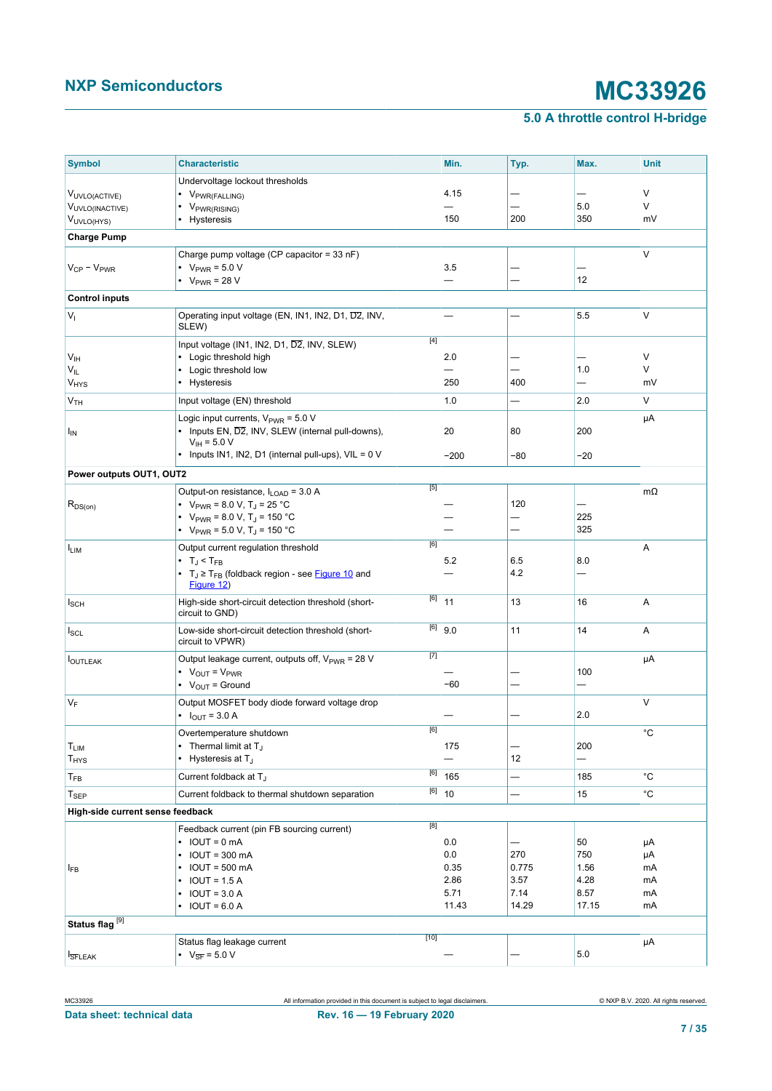# **NXP Semiconductors MC33926**

| <b>Symbol</b>                    | <b>Characteristic</b>                                                                                                                                                                                                                                                       | Min.                | Typ.                     | Max.                     | <b>Unit</b>       |
|----------------------------------|-----------------------------------------------------------------------------------------------------------------------------------------------------------------------------------------------------------------------------------------------------------------------------|---------------------|--------------------------|--------------------------|-------------------|
|                                  | Undervoltage lockout thresholds                                                                                                                                                                                                                                             |                     |                          |                          |                   |
| VUVLO(ACTIVE)                    | • VPWR(FALLING)                                                                                                                                                                                                                                                             | 4.15                |                          |                          | V                 |
| VUVLO(INACTIVE)                  | V <sub>PWR(RISING)</sub>                                                                                                                                                                                                                                                    |                     |                          | 5.0                      | V                 |
| VUVLO(HYS)                       | Hysteresis                                                                                                                                                                                                                                                                  | 150                 | 200                      | 350                      | mV                |
| <b>Charge Pump</b>               |                                                                                                                                                                                                                                                                             |                     |                          |                          |                   |
|                                  |                                                                                                                                                                                                                                                                             |                     |                          |                          |                   |
|                                  | Charge pump voltage (CP capacitor = 33 nF)                                                                                                                                                                                                                                  |                     |                          |                          | V                 |
| $V_{CP} - V_{PWR}$               | • $V_{PWR} = 5.0 V$                                                                                                                                                                                                                                                         | 3.5                 |                          |                          |                   |
|                                  | • $V_{PWR} = 28 V$                                                                                                                                                                                                                                                          | —                   |                          | 12                       |                   |
| <b>Control inputs</b>            |                                                                                                                                                                                                                                                                             |                     |                          |                          |                   |
| $V_{\parallel}$                  | Operating input voltage (EN, IN1, IN2, D1, D2, INV,<br>SLEW)                                                                                                                                                                                                                |                     |                          | 5.5                      | V                 |
|                                  | $[4]$<br>Input voltage (IN1, IN2, D1, D2, INV, SLEW)                                                                                                                                                                                                                        |                     |                          |                          |                   |
| V <sub>IH</sub>                  | • Logic threshold high                                                                                                                                                                                                                                                      | 2.0                 |                          |                          | V                 |
| $\mathsf{V}_{\mathsf{IL}}$       | • Logic threshold low                                                                                                                                                                                                                                                       |                     |                          | 1.0                      | V                 |
| $V_{HYS}$                        | • Hysteresis                                                                                                                                                                                                                                                                | 250                 | 400                      |                          | mV                |
| V <sub>TH</sub>                  | Input voltage (EN) threshold                                                                                                                                                                                                                                                | 1.0                 |                          | 2.0                      | V                 |
|                                  |                                                                                                                                                                                                                                                                             |                     |                          |                          |                   |
| $I_{IN}$                         | Logic input currents, $V_{PWR} = 5.0 V$<br>Inputs EN, D2, INV, SLEW (internal pull-downs),<br>$V_{IH} = 5.0 V$                                                                                                                                                              | 20                  | 80                       | 200                      | μA                |
|                                  | • Inputs IN1, IN2, D1 (internal pull-ups), VIL = 0 V                                                                                                                                                                                                                        | $-200$              | -80                      | $-20$                    |                   |
| Power outputs OUT1, OUT2         |                                                                                                                                                                                                                                                                             |                     |                          |                          |                   |
|                                  | $[5]$<br>Output-on resistance, I <sub>LOAD</sub> = 3.0 A                                                                                                                                                                                                                    |                     |                          |                          | mΩ                |
|                                  | • $V_{PWR} = 8.0 V, T_J = 25 °C$                                                                                                                                                                                                                                            |                     | 120                      |                          |                   |
| $R_{DS(on)}$                     | • $V_{PWR} = 8.0 V, T_J = 150 °C$                                                                                                                                                                                                                                           |                     |                          |                          |                   |
|                                  |                                                                                                                                                                                                                                                                             |                     | $\overline{\phantom{0}}$ | 225                      |                   |
|                                  | • $V_{PWR} = 5.0 V, T_J = 150 °C$                                                                                                                                                                                                                                           |                     | $\overline{\phantom{0}}$ | 325                      |                   |
| <b>ILIM</b>                      | [6]<br>Output current regulation threshold                                                                                                                                                                                                                                  |                     |                          |                          | Α                 |
|                                  | $\bullet$ T <sub>J</sub> < T <sub>FB</sub>                                                                                                                                                                                                                                  | 5.2                 | 6.5                      | 8.0                      |                   |
|                                  | • T <sub>J</sub> ≥ T <sub>FB</sub> (foldback region - see Figure 10 and                                                                                                                                                                                                     |                     | 4.2                      | $\overline{\phantom{0}}$ |                   |
|                                  | Figure 12)                                                                                                                                                                                                                                                                  |                     |                          |                          |                   |
| $I_{\text{SCH}}$                 | High-side short-circuit detection threshold (short-<br>circuit to GND)                                                                                                                                                                                                      | $\boxed{6}$ 11      | 13                       | 16                       | Α                 |
| $I_{SCL}$                        | Low-side short-circuit detection threshold (short-<br>circuit to VPWR)                                                                                                                                                                                                      | $\boxed{6}$ 9.0     | 11                       | 14                       | Α                 |
| <b>IOUTLEAK</b>                  | $[7]$<br>Output leakage current, outputs off, V <sub>PWR</sub> = 28 V                                                                                                                                                                                                       |                     |                          |                          | μA                |
|                                  | • $V_{OUT} = V_{PWR}$                                                                                                                                                                                                                                                       |                     |                          | 100                      |                   |
|                                  | • $V_{\text{OUT}}$ = Ground                                                                                                                                                                                                                                                 | $-60$               |                          | $\overline{\phantom{0}}$ |                   |
|                                  |                                                                                                                                                                                                                                                                             |                     |                          |                          |                   |
| $V_F$                            | Output MOSFET body diode forward voltage drop                                                                                                                                                                                                                               |                     |                          | 2.0                      | $\vee$            |
|                                  | • $I_{OUT} = 3.0 A$                                                                                                                                                                                                                                                         |                     |                          |                          |                   |
|                                  | [6]<br>Overtemperature shutdown                                                                                                                                                                                                                                             |                     |                          |                          | $^{\circ}{\rm C}$ |
| $T_{LIM}$                        | • Thermal limit at $T_{J}$                                                                                                                                                                                                                                                  | 175                 |                          | 200                      |                   |
| $T_{HYS}$                        | • Hysteresis at T <sub>J</sub>                                                                                                                                                                                                                                              |                     | 12                       |                          |                   |
| $T_{FB}$                         | $[6] % \begin{center} \includegraphics[width=\linewidth]{imagesSupplemental/Imetad-Architecture.png} \end{center} \caption{The image shows the image shows a single number of three different types of the image.} \label{fig:limal}$<br>Current foldback at T <sub>J</sub> | 165                 | -                        | 185                      | °C                |
| $T_{\text{SEP}}$                 | Current foldback to thermal shutdown separation                                                                                                                                                                                                                             | $\overline{[6]}$ 10 |                          | 15                       | °C                |
| High-side current sense feedback |                                                                                                                                                                                                                                                                             |                     |                          |                          |                   |
|                                  | [8]                                                                                                                                                                                                                                                                         |                     |                          |                          |                   |
|                                  | Feedback current (pin FB sourcing current)                                                                                                                                                                                                                                  |                     |                          |                          |                   |
|                                  | $IOUT = 0 mA$                                                                                                                                                                                                                                                               | 0.0                 |                          | 50                       | μA                |
|                                  | $IOUT = 300$ mA<br>$\bullet$                                                                                                                                                                                                                                                | $0.0\,$             | 270                      | 750                      | μA                |
| <b>IFB</b>                       | $IOUT = 500$ mA                                                                                                                                                                                                                                                             | 0.35                | 0.775                    | 1.56                     | mA                |
|                                  | $IOUT = 1.5 A$                                                                                                                                                                                                                                                              | 2.86                | 3.57                     | 4.28                     | mA                |
|                                  | $IOUT = 3.0 A$<br>$\bullet$                                                                                                                                                                                                                                                 | 5.71                | 7.14                     | 8.57                     | mA                |
|                                  | $\cdot$ IOUT = 6.0 A                                                                                                                                                                                                                                                        | 11.43               | 14.29                    | 17.15                    | mA                |
| Status flag <sup>[9]</sup>       |                                                                                                                                                                                                                                                                             |                     |                          |                          |                   |
|                                  | $[10]$<br>Status flag leakage current                                                                                                                                                                                                                                       |                     |                          |                          | μA                |
| <b>ISFLEAK</b>                   | • $V_{\overline{SF}} = 5.0 V$                                                                                                                                                                                                                                               |                     |                          | $5.0$                    |                   |
|                                  |                                                                                                                                                                                                                                                                             |                     |                          |                          |                   |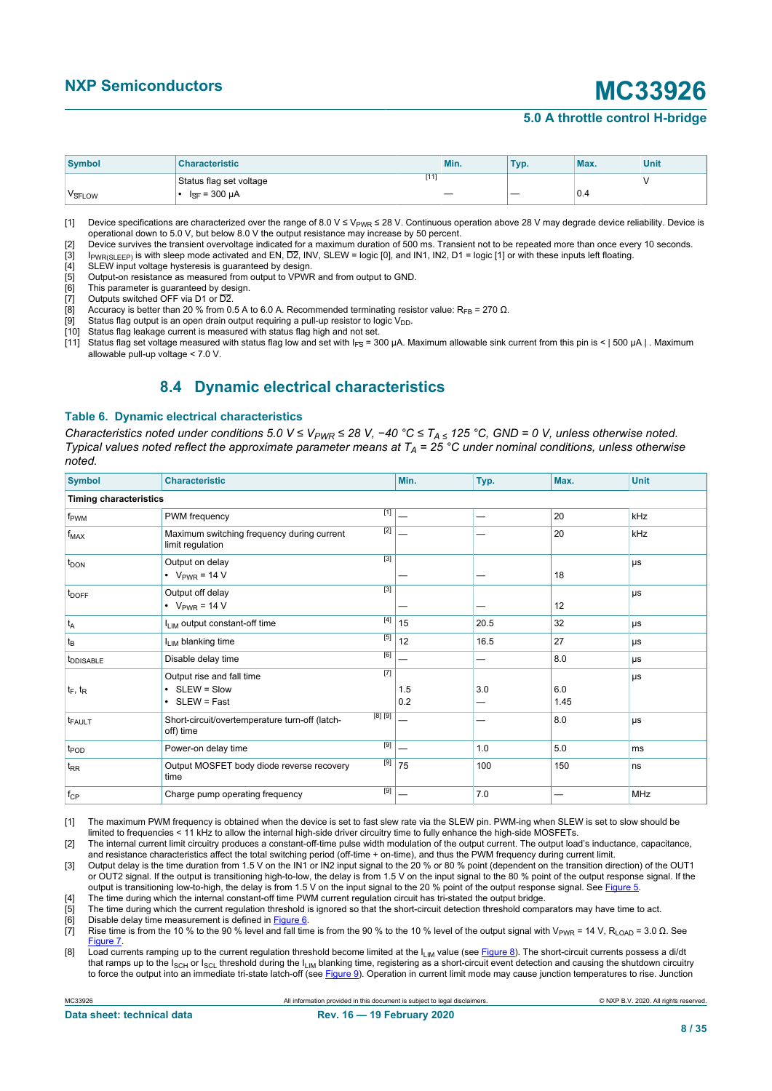## **NXP Semiconductors MC33926**

#### **5.0 A throttle control H-bridge**

<span id="page-7-1"></span><span id="page-7-0"></span>

| Symbol             | <b>Characteristic</b>    |        | Min.                     | Typ.                     | Max. | <b>Unit</b> |
|--------------------|--------------------------|--------|--------------------------|--------------------------|------|-------------|
|                    | Status flag set voltage  | $[11]$ |                          |                          |      |             |
| V <sub>SFLOW</sub> | l <sub>SF</sub> = 300 μA |        | $\overline{\phantom{a}}$ | $\overline{\phantom{a}}$ | 0.4  |             |

<span id="page-7-5"></span><span id="page-7-4"></span><span id="page-7-3"></span><span id="page-7-2"></span><sup>[1]</sup> Device specifications are characterized over the range of 8.0 V ≤ V<sub>PWR</sub> ≤ 28 V. Continuous operation above 28 V may degrade device reliability. Device is operational down to 5.0 V, but below 8.0 V the output resistance may increase by 50 percent.

<span id="page-7-9"></span>

Fig. Output-on resistance as measured from output to VPWR and from output to GND.<br>[5] Output-on resistance as measured from output to VPWR and from output to GND.

- <span id="page-7-11"></span><span id="page-7-10"></span>This parameter is guaranteed by design.
- [7] Outputs switched OFF via D1 or  $\overline{D2}$ .<br>[8] Accuracy is better than 20 % from 0.

[8] Accuracy is better than 20 % from 0.5 A to 6.0 A. Recommended terminating resistor value: R<sub>FB</sub> = 270 Ω.<br>[9] Status flag output is an open drain output requiring a pull-up resistor to logic V<sub>DD</sub>.

[9] Status flag output is an open drain output requiring a pull-up resistor to logic  $V_{DD}$ .<br>[10] Status flag leakage current is measured with status flag high and not set.

Status flag leakage current is measured with status flag high and not set.

[11] Status flag set voltage measured with status flag low and set with  $I_{FS}$  = 300 µA. Maximum allowable sink current from this pin is < | 500 µA | . Maximum allowable pull-up voltage < 7.0 V.

### <span id="page-7-13"></span><span id="page-7-12"></span>**8.4 Dynamic electrical characteristics**

#### **Table 6. Dynamic electrical characteristics**

*Characteristics noted under conditions 5.0 V ≤ VPWR ≤ 28 V, −40 °C ≤ TA ≤ 125 °C, GND = 0 V, unless otherwise noted. Typical values noted reflect the approximate parameter means at TA = 25 °C under nominal conditions, unless otherwise noted.*

| <b>Symbol</b>                 | <b>Characteristic</b>                                                            | Min.       | Typ.      | Max.        | <b>Unit</b> |
|-------------------------------|----------------------------------------------------------------------------------|------------|-----------|-------------|-------------|
| <b>Timing characteristics</b> |                                                                                  |            |           |             |             |
| f <sub>PWM</sub>              | [1]<br>PWM frequency                                                             |            |           | 20          | kHz         |
| $f_{MAX}$                     | $[2]$<br>Maximum switching frequency during current<br>limit regulation          |            |           | 20          | kHz         |
| t <sub>DON</sub>              | $[3]$<br>Output on delay<br>• $V_{PWR} = 14 V$                                   |            |           | 18          | μs          |
| t <sub>DOFF</sub>             | $[3]$<br>Output off delay<br>• $V_{PWR} = 14 V$                                  |            |           | 12          | μs          |
| t <sub>A</sub>                | $[4]$<br>I <sub>LIM</sub> output constant-off time                               | 15         | 20.5      | 32          | μs          |
| $t_B$                         | $[5]$<br>I <sub>LIM</sub> blanking time                                          | 12         | 16.5      | 27          | μs          |
| <i>t</i> <sub>DDISABLE</sub>  | [6]<br>Disable delay time                                                        |            | -         | 8.0         | μs          |
| $t_F$ , $t_R$                 | $[7]$<br>Output rise and fall time<br>$\cdot$ SLEW = Slow<br>$\cdot$ SLEW = Fast | 1.5<br>0.2 | 3.0<br>-- | 6.0<br>1.45 | μs          |
| t <sub>FAULT</sub>            | $[8]$ $[9]$<br>Short-circuit/overtemperature turn-off (latch-<br>off) time       |            |           | 8.0         | μs          |
| t <sub>POD</sub>              | $[9]$<br>Power-on delay time                                                     |            | 1.0       | 5.0         | ms          |
| $t_{RR}$                      | $[9]$<br>Output MOSFET body diode reverse recovery<br>time                       | 75         | 100       | 150         | ns          |
| $f_{\text{CP}}$               | [9]<br>Charge pump operating frequency                                           |            | 7.0       |             | <b>MHz</b>  |

[1] The maximum PWM frequency is obtained when the device is set to fast slew rate via the SLEW pin. PWM-ing when SLEW is set to slow should be limited to frequencies < 11 kHz to allow the internal high-side driver circuitry time to fully enhance the high-side MOSFETs.

[2] The internal current limit circuitry produces a constant-off-time pulse width modulation of the output current. The output load's inductance, capacitance, and resistance characteristics affect the total switching period (off-time + on-time), and thus the PWM frequency during current limit.

[3] Output delay is the time duration from 1.5 V on the IN1 or IN2 input signal to the 20 % or 80 % point (dependent on the transition direction) of the OUT1 or OUT2 signal. If the output is transitioning high-to-low, the delay is from 1.5 V on the input signal to the 80 % point of the output response signal. If the output is transitioning low-to-high, the delay is from 1.5 V on the input signal to the 20 % point of the output response signal. See [Figure 5.](#page-8-1) [4] The time during which the internal constant-off time PWM current regulation circuit has tri-stated the output bridge.

[5] The time during which the current regulation threshold is ignored so that the short-circuit detection threshold comparators may have time to act.<br>[6] Disable delay time measurement is defined in Figure 6.

[6] Disable delay time measurement is defined in  $Figure 6$ .<br>[7] Rise time is from the 10 % to the 90 % level and fall tim</u>

Rise time is from the 10 % to the 90 % level and fall time is from the 90 % to the 10 % level of the output signal with V<sub>PWR</sub> = 14 V, R<sub>LOAD</sub> = 3.0  $\Omega$ . See [Figure 7.](#page-8-3)

[8] Load currents ramping up to the current regulation threshold become limited at the I<sub>LIM</sub> value (see [Figure 8](#page-8-4)). The short-circuit currents possess a di/dt that ramps up to the I<sub>SCH</sub> or I<sub>SCL</sub> threshold during the I<sub>LIM</sub> blanking time, registering as a short-circuit event detection and causing the shutdown circuitry to force the output into an immediate tri-state latch-off (see [Figure 9\)](#page-9-1). Operation in current limit mode may cause junction temperatures to rise. Junction

MC33926 All information provided in this document is subject to legal disclaimers. © NXP B.V. 2020. All rights reserved.

<span id="page-7-6"></span><sup>[2]</sup> Device survives the transient overvoltage indicated for a maximum duration of 500 ms. Transient not to be repeated more than once every 10 seconds.<br>[3]  $I_{PWR|SEEP}$  is with sleep mode activated and EN,  $\overline{D2}$ , INV, S

<span id="page-7-8"></span><span id="page-7-7"></span><sup>[3]</sup> I<sub>PWR(SLEEP)</sub> is with sleep mode activated and EN, D2, INV, SLEW = logic [0], and IN1, IN2, D1 = logic [1] or with these inputs left floating.<br>[4] SLEW input voltage hysteresis is guaranteed by design.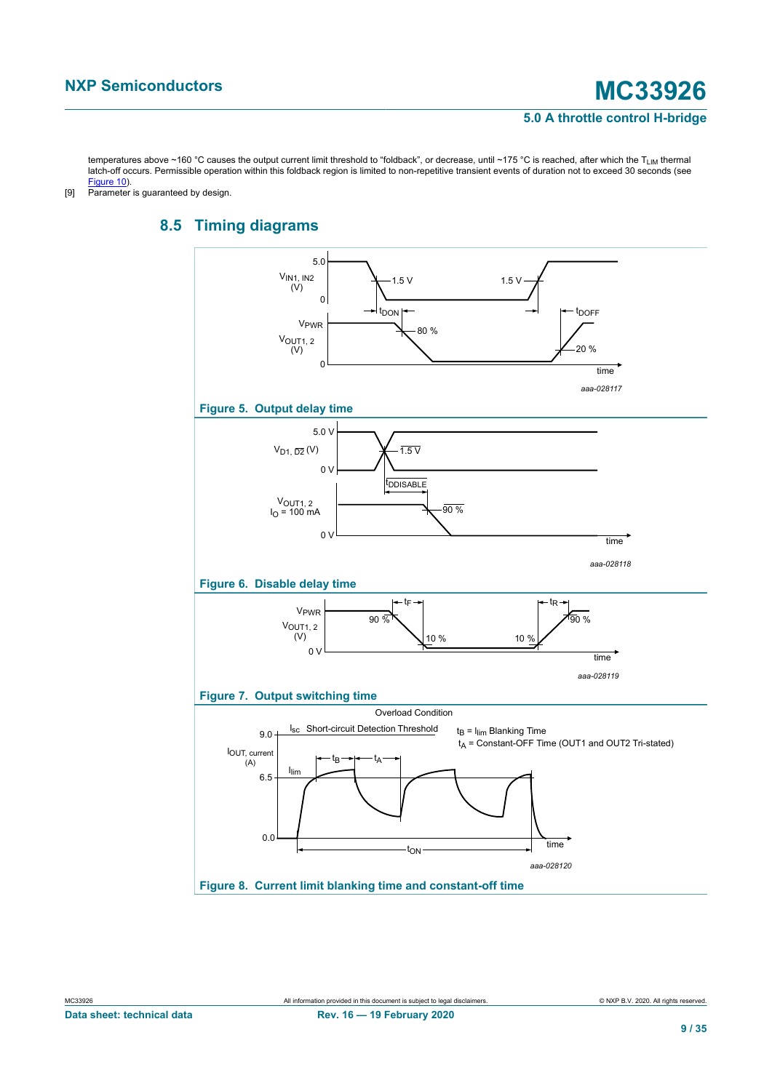temperatures above ~160 °C causes the output current limit threshold to "foldback", or decrease, until ~175 °C is reached, after which the T<sub>LIM</sub> thermal latch-off occurs. Permissible operation within this foldback region is limited to non-repetitive transient events of duration not to exceed 30 seconds (see [Figure 10\)](#page-9-0).

[9] Parameter is guaranteed by design.

## <span id="page-8-0"></span>**8.5 Timing diagrams**

<span id="page-8-5"></span><span id="page-8-4"></span><span id="page-8-3"></span><span id="page-8-2"></span><span id="page-8-1"></span>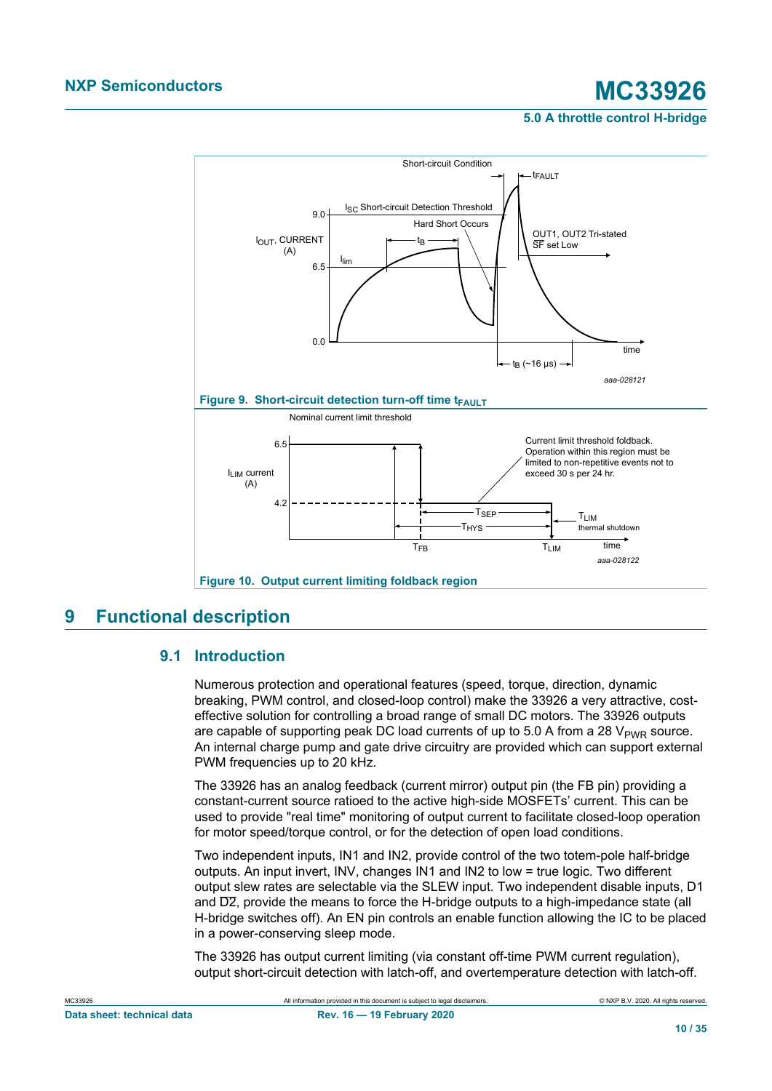<span id="page-9-1"></span>

## <span id="page-9-2"></span><span id="page-9-0"></span>**9 Functional description**

### **9.1 Introduction**

<span id="page-9-3"></span>Numerous protection and operational features (speed, torque, direction, dynamic breaking, PWM control, and closed-loop control) make the 33926 a very attractive, costeffective solution for controlling a broad range of small DC motors. The 33926 outputs are capable of supporting peak DC load currents of up to 5.0 A from a 28  $V_{PWR}$  source. An internal charge pump and gate drive circuitry are provided which can support external PWM frequencies up to 20 kHz.

The 33926 has an analog feedback (current mirror) output pin (the FB pin) providing a constant-current source ratioed to the active high-side MOSFETs' current. This can be used to provide "real time" monitoring of output current to facilitate closed-loop operation for motor speed/torque control, or for the detection of open load conditions.

Two independent inputs, IN1 and IN2, provide control of the two totem-pole half-bridge outputs. An input invert, INV, changes IN1 and IN2 to low = true logic. Two different output slew rates are selectable via the SLEW input. Two independent disable inputs, D1 and  $\overline{D2}$ , provide the means to force the H-bridge outputs to a high-impedance state (all H-bridge switches off). An EN pin controls an enable function allowing the IC to be placed in a power-conserving sleep mode.

The 33926 has output current limiting (via constant off-time PWM current regulation), output short-circuit detection with latch-off, and overtemperature detection with latch-off.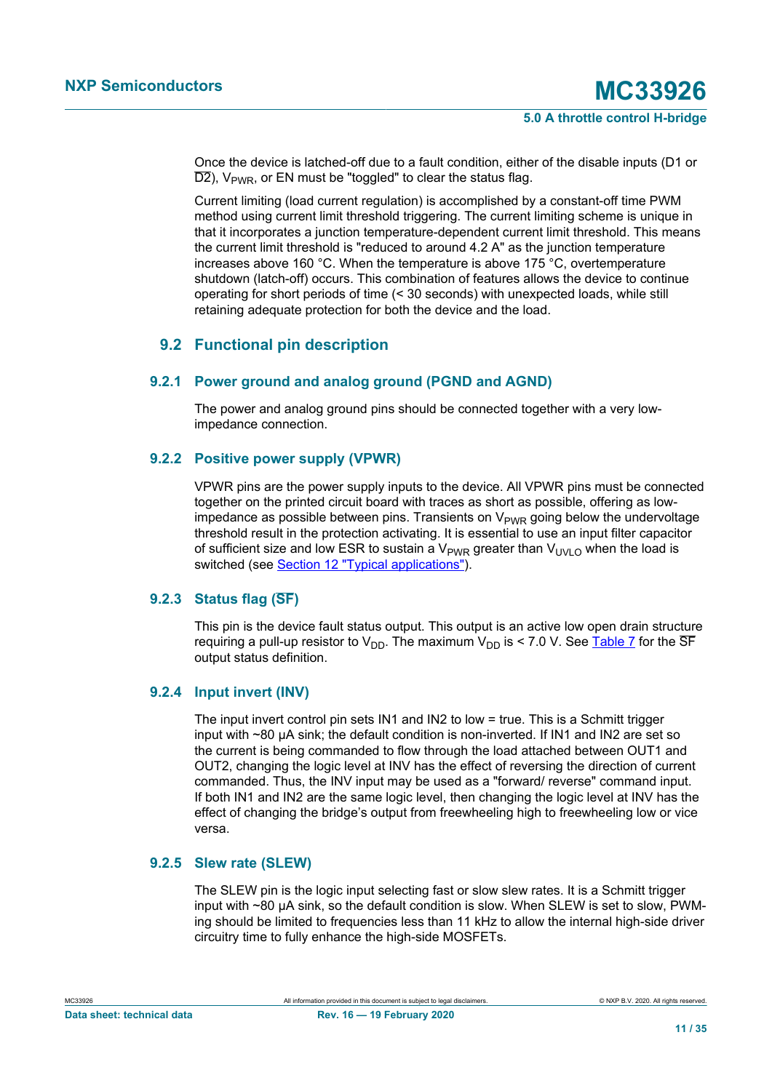Once the device is latched-off due to a fault condition, either of the disable inputs (D1 or  $\overline{D2}$ ),  $V_{PWR}$ , or EN must be "toggled" to clear the status flag.

Current limiting (load current regulation) is accomplished by a constant-off time PWM method using current limit threshold triggering. The current limiting scheme is unique in that it incorporates a junction temperature-dependent current limit threshold. This means the current limit threshold is "reduced to around 4.2 A" as the junction temperature increases above 160 °C. When the temperature is above 175 °C, overtemperature shutdown (latch-off) occurs. This combination of features allows the device to continue operating for short periods of time (< 30 seconds) with unexpected loads, while still retaining adequate protection for both the device and the load.

### <span id="page-10-0"></span>**9.2 Functional pin description**

#### **9.2.1 Power ground and analog ground (PGND and AGND)**

<span id="page-10-2"></span>The power and analog ground pins should be connected together with a very lowimpedance connection.

#### **9.2.2 Positive power supply (VPWR)**

<span id="page-10-1"></span>VPWR pins are the power supply inputs to the device. All VPWR pins must be connected together on the printed circuit board with traces as short as possible, offering as lowimpedance as possible between pins. Transients on  $V_{PWR}$  going below the undervoltage threshold result in the protection activating. It is essential to use an input filter capacitor of sufficient size and low ESR to sustain a  $V_{PWR}$  greater than  $V_{UVLO}$  when the load is switched (see [Section 12 "Typical applications"](#page-16-0)).

#### **9.2.3 Status flag (SF)**

<span id="page-10-3"></span>This pin is the device fault status output. This output is an active low open drain structure requiring a pull-up resistor to  $V_{DD}$ . The maximum  $V_{DD}$  is < 7.0 V. See [Table 7](#page-14-0) for the  $\overline{SF}$ output status definition.

#### **9.2.4 Input invert (INV)**

<span id="page-10-4"></span>The input invert control pin sets IN1 and IN2 to low = true. This is a Schmitt trigger input with ~80 µA sink; the default condition is non-inverted. If IN1 and IN2 are set so the current is being commanded to flow through the load attached between OUT1 and OUT2, changing the logic level at INV has the effect of reversing the direction of current commanded. Thus, the INV input may be used as a "forward/ reverse" command input. If both IN1 and IN2 are the same logic level, then changing the logic level at INV has the effect of changing the bridge's output from freewheeling high to freewheeling low or vice versa.

#### **9.2.5 Slew rate (SLEW)**

<span id="page-10-5"></span>The SLEW pin is the logic input selecting fast or slow slew rates. It is a Schmitt trigger input with ~80 µA sink, so the default condition is slow. When SLEW is set to slow, PWMing should be limited to frequencies less than 11 kHz to allow the internal high-side driver circuitry time to fully enhance the high-side MOSFETs.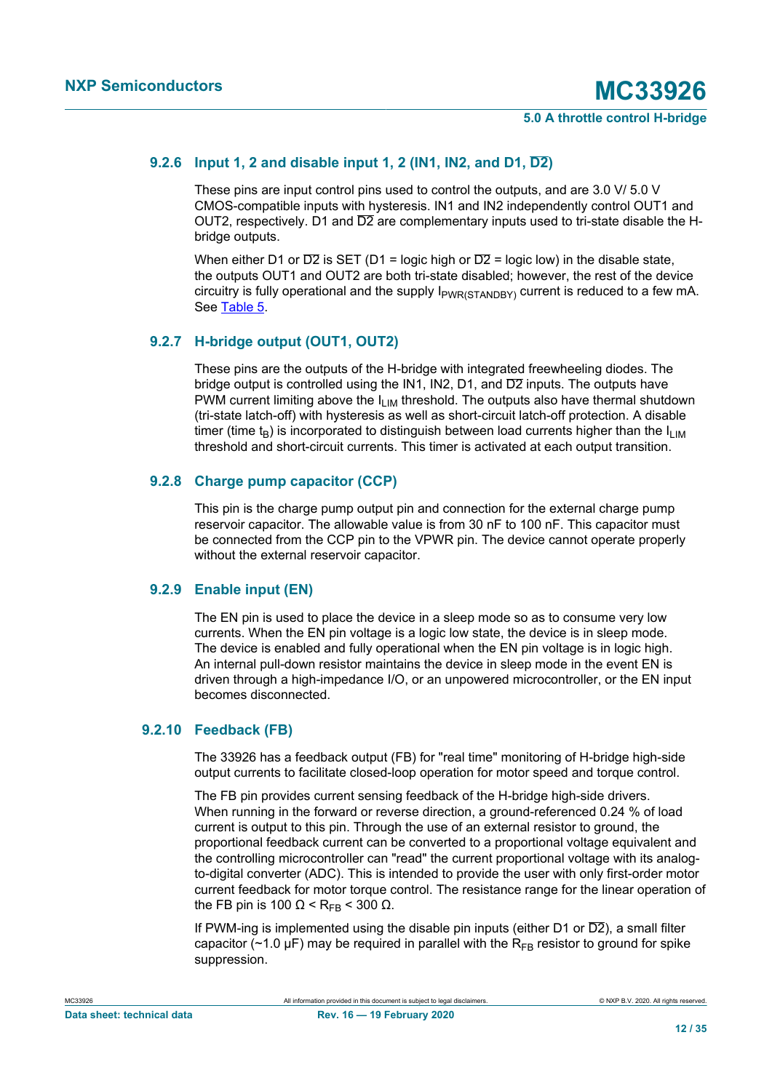### **9.2.6 Input 1, 2 and disable input 1, 2 (IN1, IN2, and D1, D2)**

<span id="page-11-0"></span>These pins are input control pins used to control the outputs, and are 3.0 V/ 5.0 V CMOS-compatible inputs with hysteresis. IN1 and IN2 independently control OUT1 and OUT2, respectively. D1 and  $\overline{D2}$  are complementary inputs used to tri-state disable the Hbridge outputs.

When either D1 or  $\overline{D2}$  is SET (D1 = logic high or  $\overline{D2}$  = logic low) in the disable state, the outputs OUT1 and OUT2 are both tri-state disabled; however, the rest of the device circuitry is fully operational and the supply  $I_{PWR(STANDBY)}$  current is reduced to a few mA. See [Table 5.](#page-5-10)

### **9.2.7 H-bridge output (OUT1, OUT2)**

<span id="page-11-1"></span>These pins are the outputs of the H-bridge with integrated freewheeling diodes. The bridge output is controlled using the IN1, IN2, D1, and  $\overline{D2}$  inputs. The outputs have PWM current limiting above the  $I_{LIM}$  threshold. The outputs also have thermal shutdown (tri-state latch-off) with hysteresis as well as short-circuit latch-off protection. A disable timer (time t<sub>B</sub>) is incorporated to distinguish between load currents higher than the  $I_{LIM}$ threshold and short-circuit currents. This timer is activated at each output transition.

### **9.2.8 Charge pump capacitor (CCP)**

<span id="page-11-2"></span>This pin is the charge pump output pin and connection for the external charge pump reservoir capacitor. The allowable value is from 30 nF to 100 nF. This capacitor must be connected from the CCP pin to the VPWR pin. The device cannot operate properly without the external reservoir capacitor.

#### **9.2.9 Enable input (EN)**

<span id="page-11-3"></span>The EN pin is used to place the device in a sleep mode so as to consume very low currents. When the EN pin voltage is a logic low state, the device is in sleep mode. The device is enabled and fully operational when the EN pin voltage is in logic high. An internal pull-down resistor maintains the device in sleep mode in the event EN is driven through a high-impedance I/O, or an unpowered microcontroller, or the EN input becomes disconnected.

#### **9.2.10 Feedback (FB)**

<span id="page-11-4"></span>The 33926 has a feedback output (FB) for "real time" monitoring of H-bridge high-side output currents to facilitate closed-loop operation for motor speed and torque control.

The FB pin provides current sensing feedback of the H-bridge high-side drivers. When running in the forward or reverse direction, a ground-referenced 0.24 % of load current is output to this pin. Through the use of an external resistor to ground, the proportional feedback current can be converted to a proportional voltage equivalent and the controlling microcontroller can "read" the current proportional voltage with its analogto-digital converter (ADC). This is intended to provide the user with only first-order motor current feedback for motor torque control. The resistance range for the linear operation of the FB pin is 100  $\Omega$  < R<sub>FB</sub> < 300  $\Omega$ .

If PWM-ing is implemented using the disable pin inputs (either D1 or  $\overline{D2}$ ), a small filter capacitor (~1.0  $\mu$ F) may be required in parallel with the R<sub>FB</sub> resistor to ground for spike suppression.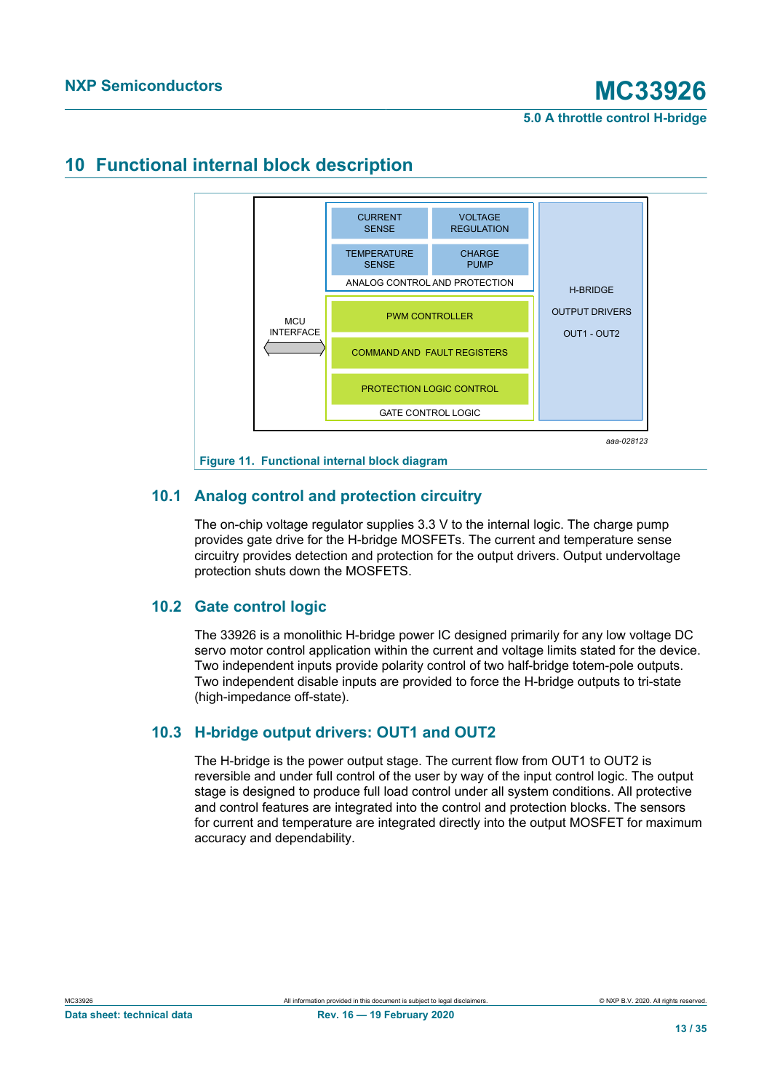## <span id="page-12-1"></span>**10 Functional internal block description**

<span id="page-12-0"></span>

### **10.1 Analog control and protection circuitry**

<span id="page-12-2"></span>The on-chip voltage regulator supplies 3.3 V to the internal logic. The charge pump provides gate drive for the H-bridge MOSFETs. The current and temperature sense circuitry provides detection and protection for the output drivers. Output undervoltage protection shuts down the MOSFETS.

### **10.2 Gate control logic**

<span id="page-12-3"></span>The 33926 is a monolithic H-bridge power IC designed primarily for any low voltage DC servo motor control application within the current and voltage limits stated for the device. Two independent inputs provide polarity control of two half-bridge totem-pole outputs. Two independent disable inputs are provided to force the H-bridge outputs to tri-state (high-impedance off-state).

### **10.3 H-bridge output drivers: OUT1 and OUT2**

<span id="page-12-4"></span>The H-bridge is the power output stage. The current flow from OUT1 to OUT2 is reversible and under full control of the user by way of the input control logic. The output stage is designed to produce full load control under all system conditions. All protective and control features are integrated into the control and protection blocks. The sensors for current and temperature are integrated directly into the output MOSFET for maximum accuracy and dependability.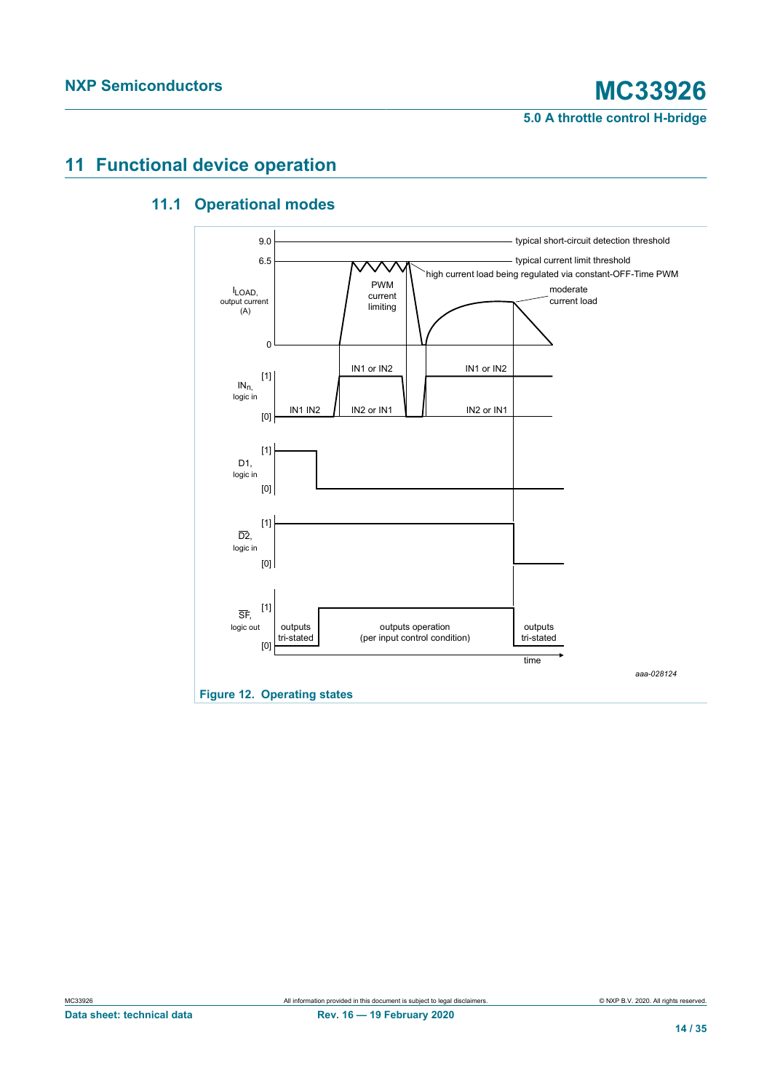## <span id="page-13-1"></span>**11 Functional device operation**

## **11.1 Operational modes**

<span id="page-13-2"></span><span id="page-13-0"></span>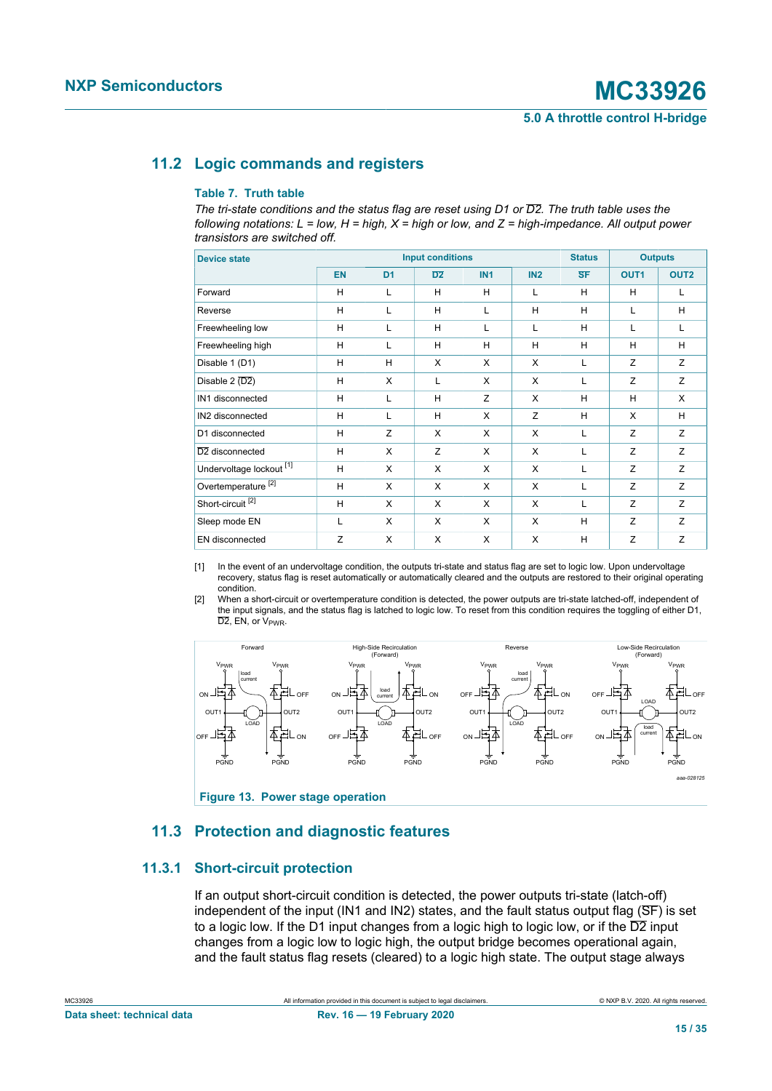### **11.2 Logic commands and registers**

#### <span id="page-14-3"></span><span id="page-14-1"></span><span id="page-14-0"></span>**Table 7. Truth table**

*The tri-state conditions and the status flag are reset using D1 or D2. The truth table uses the following notations: L = low, H = high, X = high or low, and Z = high-impedance. All output power transistors are switched off.*

| <b>Device state</b>                 |           |                | <b>Input conditions</b> |            |          | <b>Status</b> |                  | <b>Outputs</b>   |
|-------------------------------------|-----------|----------------|-------------------------|------------|----------|---------------|------------------|------------------|
|                                     | <b>EN</b> | D <sub>1</sub> | D <sub>2</sub>          | <b>IN1</b> | IN2      | <b>SF</b>     | OUT <sub>1</sub> | OUT <sub>2</sub> |
| Forward                             | H         | L              | H                       | H          | L        | H             | H                |                  |
| Reverse                             | H         | L              | H                       | L          | н        | H             | L                | н                |
| Freewheeling low                    | H         | L              | H                       | L          | L        | H             | L                | L                |
| Freewheeling high                   | H         | L              | H                       | H          | н        | H             | н                | н                |
| Disable 1 (D1)                      | H         | H              | X                       | X          | X        | L             | Z                | Z                |
| Disable $2(\overline{D2})$          | H         | X              | L                       | X          | X        | L             | Z                | Z                |
| IN1 disconnected                    | H         | L              | H                       | Z          | X        | H             | H                | X                |
| IN2 disconnected                    | H         | L              | H                       | X          | Z        | H             | X                | H                |
| D1 disconnected                     | H         | Z              | X                       | X          | X        | L             | Z                | Z                |
| D <sub>2</sub> disconnected         | H         | X              | Z                       | X          | X        | L             | Z                | Z                |
| Undervoltage lockout <sup>[1]</sup> | H         | X              | $\mathsf{x}$            | X          | X        | L             | Z                | Z                |
| Overtemperature <sup>[2]</sup>      | H         | X              | X                       | X          | X        | L             | Z                | Z                |
| Short-circuit <sup>[2]</sup>        | H         | X              | X                       | X          | $\times$ | L             | Z                | Z                |
| Sleep mode EN                       | L         | X              | X                       | X          | X        | H             | Z                | Z                |
| EN disconnected                     | Z         | X              | X                       | X          | X        | H             | Z                | Z                |

[1] In the event of an undervoltage condition, the outputs tri-state and status flag are set to logic low. Upon undervoltage recovery, status flag is reset automatically or automatically cleared and the outputs are restored to their original operating condition.

[2] When a short-circuit or overtemperature condition is detected, the power outputs are tri-state latched-off, independent of the input signals, and the status flag is latched to logic low. To reset from this condition requires the toggling of either D1, D2, EN, or V<sub>PWR</sub>.

<span id="page-14-2"></span>

## <span id="page-14-4"></span>**11.3 Protection and diagnostic features**

### **11.3.1 Short-circuit protection**

<span id="page-14-5"></span>If an output short-circuit condition is detected, the power outputs tri-state (latch-off) independent of the input (IN1 and IN2) states, and the fault status output flag ( $\overline{\text{SF}}$ ) is set to a logic low. If the D1 input changes from a logic high to logic low, or if the  $\overline{D2}$  input changes from a logic low to logic high, the output bridge becomes operational again, and the fault status flag resets (cleared) to a logic high state. The output stage always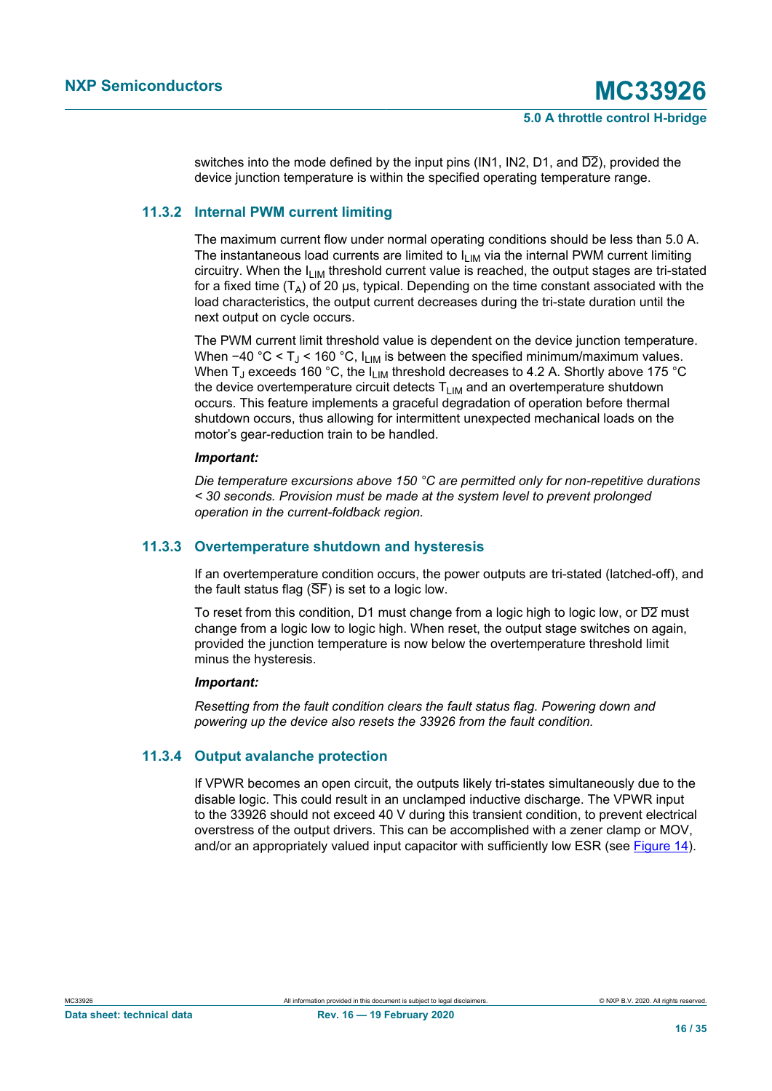switches into the mode defined by the input pins (IN1, IN2, D1, and  $\overline{D2}$ ), provided the device junction temperature is within the specified operating temperature range.

#### **11.3.2 Internal PWM current limiting**

<span id="page-15-0"></span>The maximum current flow under normal operating conditions should be less than 5.0 A. The instantaneous load currents are limited to  $I_{LIM}$  via the internal PWM current limiting circuitry. When the  $I_{\text{LIM}}$  threshold current value is reached, the output stages are tri-stated for a fixed time  $(T_A)$  of 20 µs, typical. Depending on the time constant associated with the load characteristics, the output current decreases during the tri-state duration until the next output on cycle occurs.

The PWM current limit threshold value is dependent on the device junction temperature. When −40 °C < Tյ < 160 °C, I<sub>LIM</sub> is between the specified minimum/maximum values. When T $_{\textrm{\scriptsize{J}}}$  exceeds 160  $^{\circ}$ C, the I $_{\textrm{\scriptsize{LIM}}}$  threshold decreases to 4.2 A. Shortly above 175  $^{\circ}$ C the device overtemperature circuit detects  $T_{LIM}$  and an overtemperature shutdown occurs. This feature implements a graceful degradation of operation before thermal shutdown occurs, thus allowing for intermittent unexpected mechanical loads on the motor's gear-reduction train to be handled.

#### *Important:*

*Die temperature excursions above 150 °C are permitted only for non-repetitive durations < 30 seconds. Provision must be made at the system level to prevent prolonged operation in the current-foldback region.*

#### **11.3.3 Overtemperature shutdown and hysteresis**

<span id="page-15-1"></span>If an overtemperature condition occurs, the power outputs are tri-stated (latched-off), and the fault status flag  $(SF)$  is set to a logic low.

To reset from this condition, D1 must change from a logic high to logic low, or  $\overline{D2}$  must change from a logic low to logic high. When reset, the output stage switches on again, provided the junction temperature is now below the overtemperature threshold limit minus the hysteresis.

#### *Important:*

*Resetting from the fault condition clears the fault status flag. Powering down and powering up the device also resets the 33926 from the fault condition.*

#### **11.3.4 Output avalanche protection**

<span id="page-15-2"></span>If VPWR becomes an open circuit, the outputs likely tri-states simultaneously due to the disable logic. This could result in an unclamped inductive discharge. The VPWR input to the 33926 should not exceed 40 V during this transient condition, to prevent electrical overstress of the output drivers. This can be accomplished with a zener clamp or MOV, and/or an appropriately valued input capacitor with sufficiently low ESR (see [Figure 14](#page-16-1)).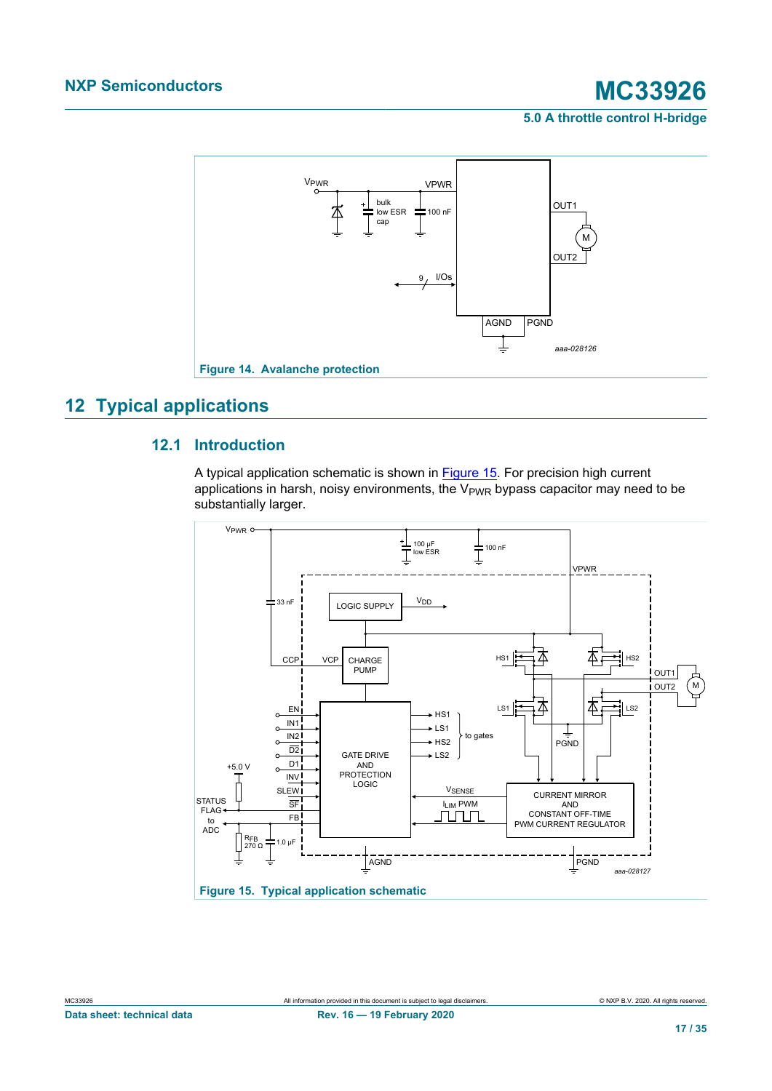<span id="page-16-1"></span>

## <span id="page-16-0"></span>**12 Typical applications**

### **12.1 Introduction**

<span id="page-16-3"></span>A typical application schematic is shown in [Figure 15](#page-16-2). For precision high current applications in harsh, noisy environments, the  $V_{PWR}$  bypass capacitor may need to be substantially larger.

<span id="page-16-2"></span>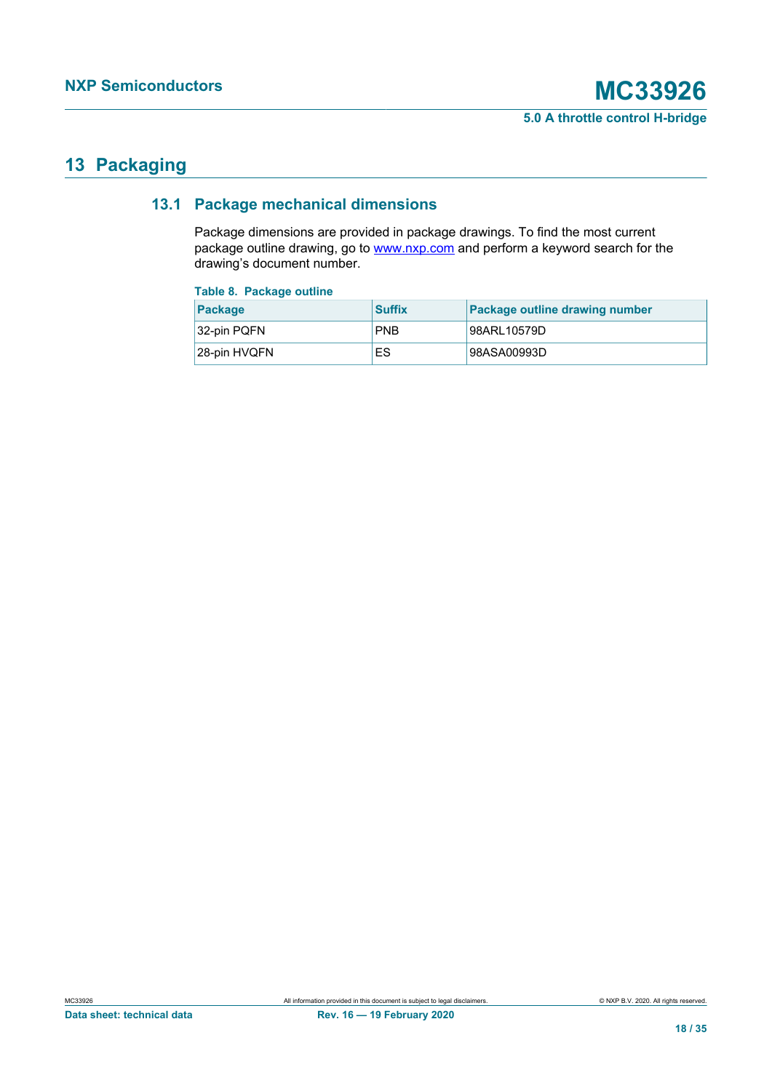## <span id="page-17-2"></span>**13 Packaging**

## **13.1 Package mechanical dimensions**

<span id="page-17-0"></span>Package dimensions are provided in package drawings. To find the most current package outline drawing, go to [www.nxp.com](http://www.nxp.com) and perform a keyword search for the drawing's document number.

#### <span id="page-17-1"></span>**Table 8. Package outline**

| <b>Package</b> | <b>Suffix</b> | Package outline drawing number |
|----------------|---------------|--------------------------------|
| 32-pin PQFN    | <b>PNB</b>    | 98ARL10579D                    |
| 28-pin HVQFN   | ES            | 98ASA00993D                    |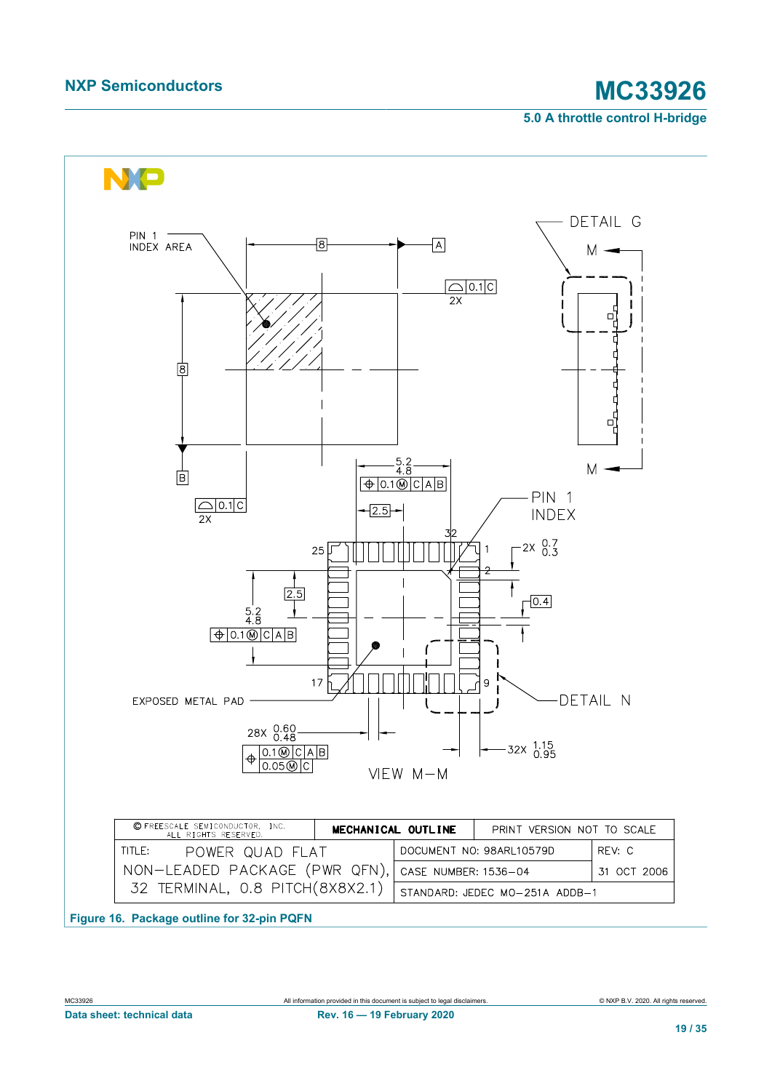<span id="page-18-0"></span>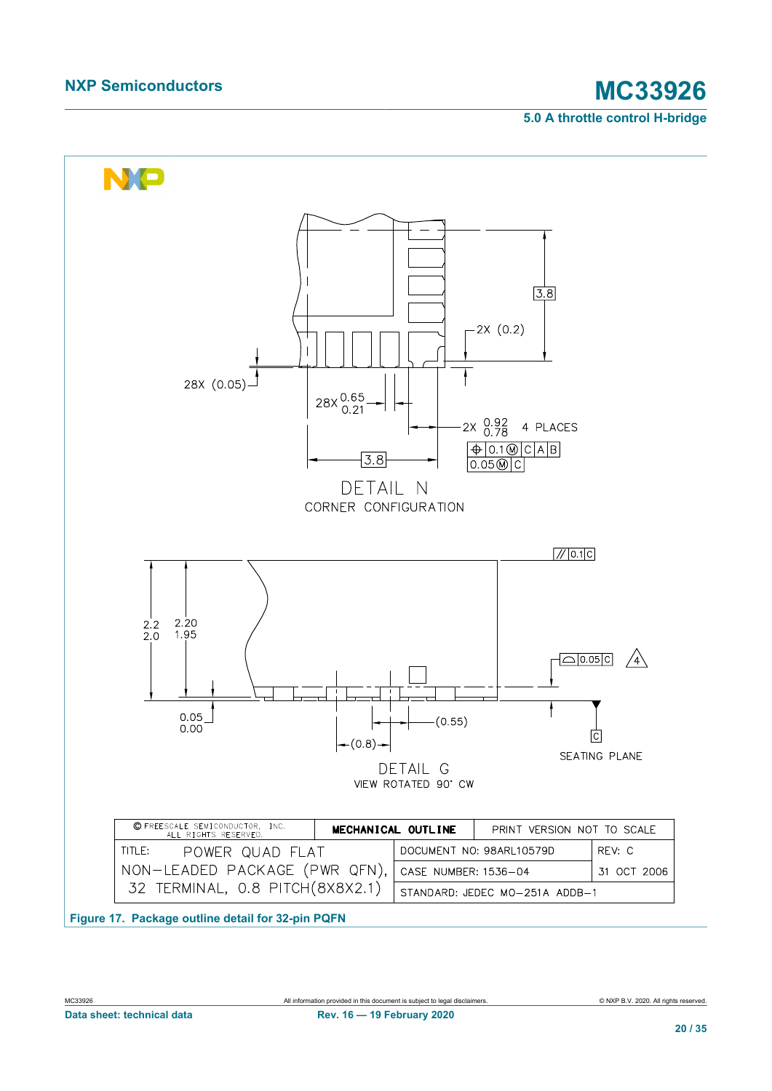<span id="page-19-0"></span>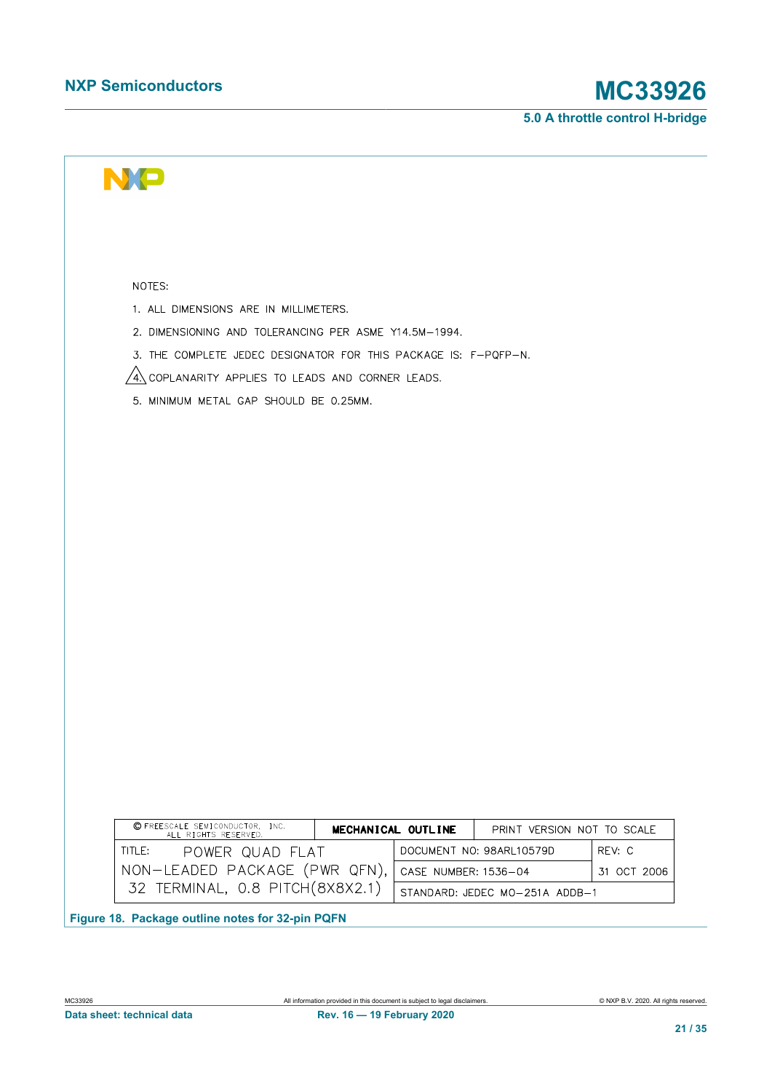# **NXP Semiconductors MC33926**

<span id="page-20-0"></span>

| NOTES:                                                           |                      |                            |             |
|------------------------------------------------------------------|----------------------|----------------------------|-------------|
| 1. ALL DIMENSIONS ARE IN MILLIMETERS.                            |                      |                            |             |
| 2. DIMENSIONING AND TOLERANCING PER ASME Y14.5M-1994.            |                      |                            |             |
| 3. THE COMPLETE JEDEC DESIGNATOR FOR THIS PACKAGE IS: F-PQFP-N.  |                      |                            |             |
| $\sqrt{4}$ coplanarity applies to leads and corner leads.        |                      |                            |             |
| 5. MINIMUM METAL GAP SHOULD BE 0.25MM.                           |                      |                            |             |
|                                                                  |                      |                            |             |
|                                                                  |                      |                            |             |
|                                                                  |                      |                            |             |
|                                                                  |                      |                            |             |
|                                                                  |                      |                            |             |
|                                                                  |                      |                            |             |
|                                                                  |                      |                            |             |
|                                                                  |                      |                            |             |
|                                                                  |                      |                            |             |
|                                                                  |                      |                            |             |
|                                                                  |                      |                            |             |
|                                                                  |                      |                            |             |
|                                                                  |                      |                            |             |
|                                                                  |                      |                            |             |
|                                                                  |                      |                            |             |
|                                                                  |                      |                            |             |
|                                                                  |                      |                            |             |
|                                                                  |                      |                            |             |
| © FREESCALE SEMICONDUCTOR, INC.<br>ALL RIGHTS RESERVED.          | MECHANICAL OUTLINE   | PRINT VERSION NOT TO SCALE |             |
| TITLE:<br>POWER QUAD FLAT                                        |                      | DOCUMENT NO: 98ARL10579D   | REV: C      |
|                                                                  |                      |                            |             |
| NON-LEADED PACKAGE (PWR QFN),<br>32 TERMINAL, 0.8 PITCH(8X8X2.1) | CASE NUMBER: 1536-04 |                            | 31 OCT 2006 |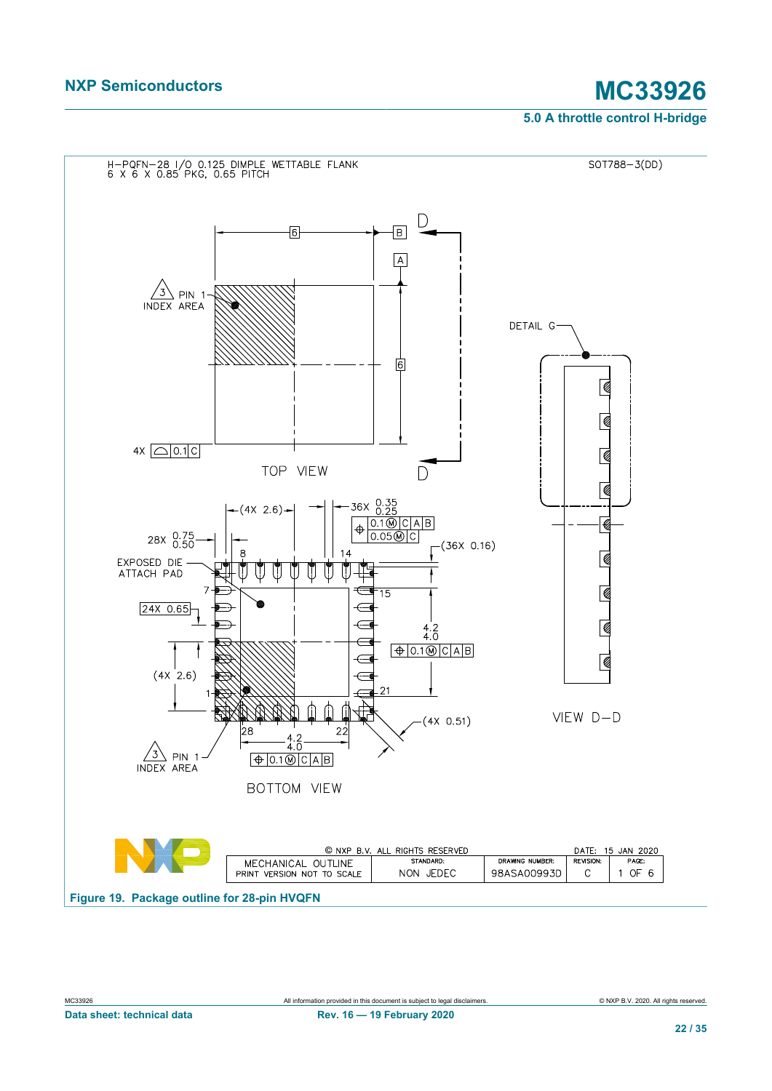<span id="page-21-0"></span>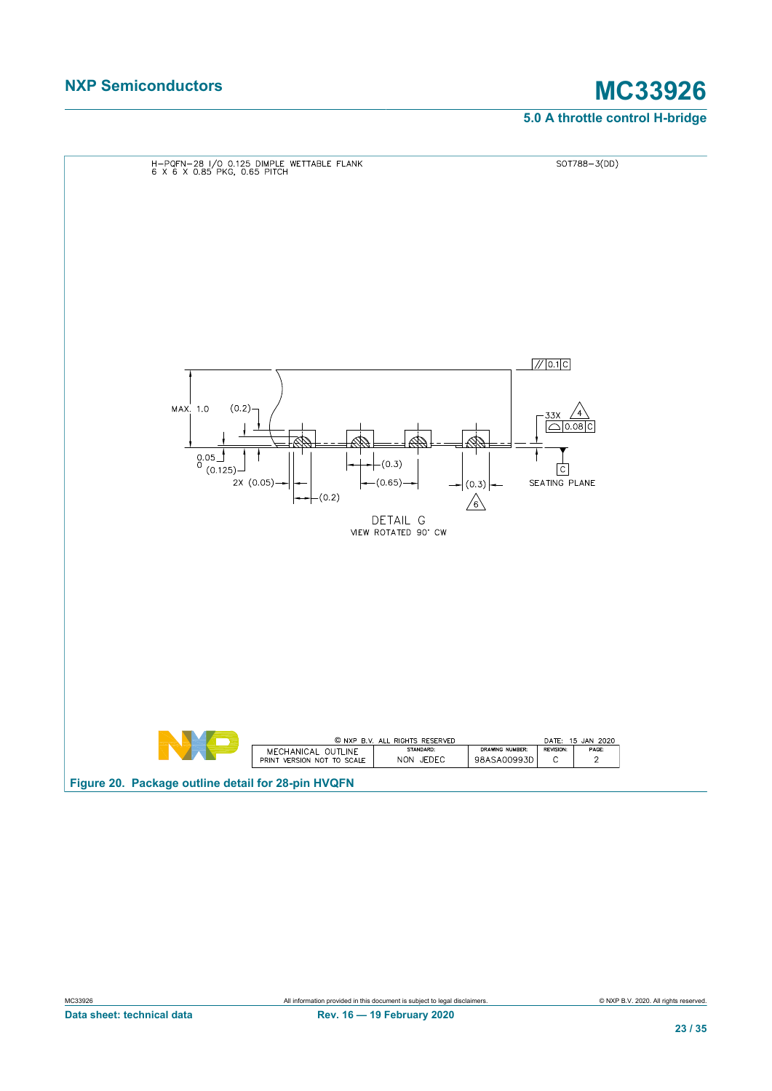<span id="page-22-0"></span>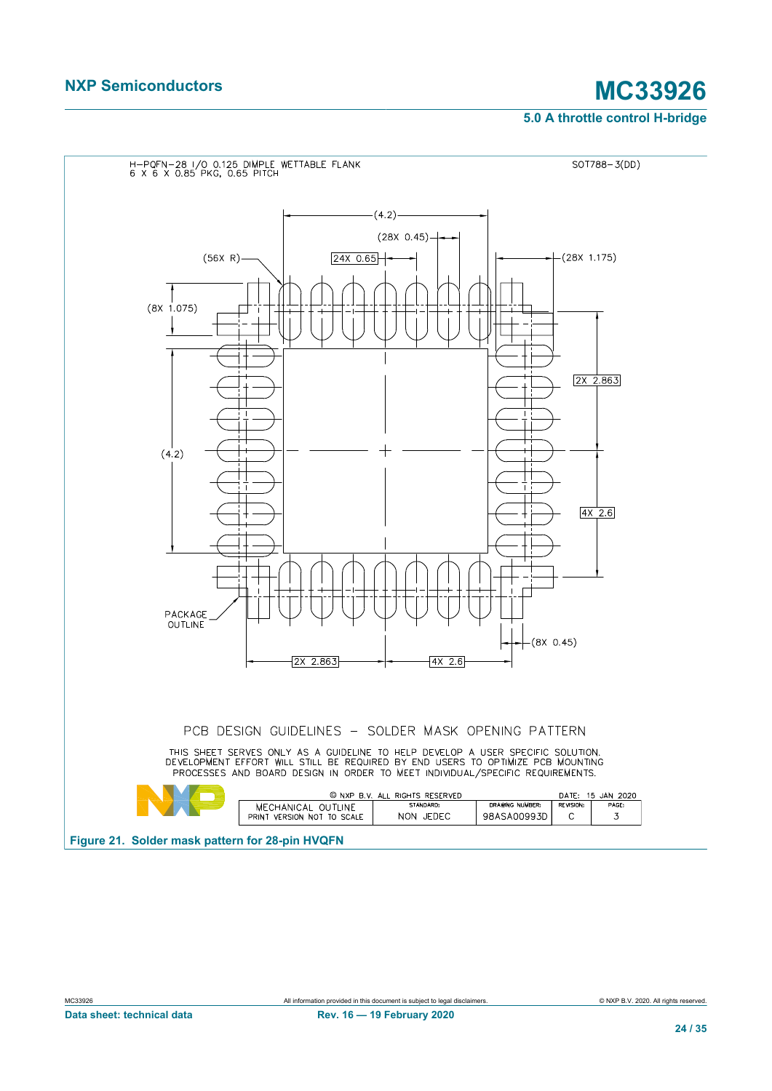<span id="page-23-0"></span>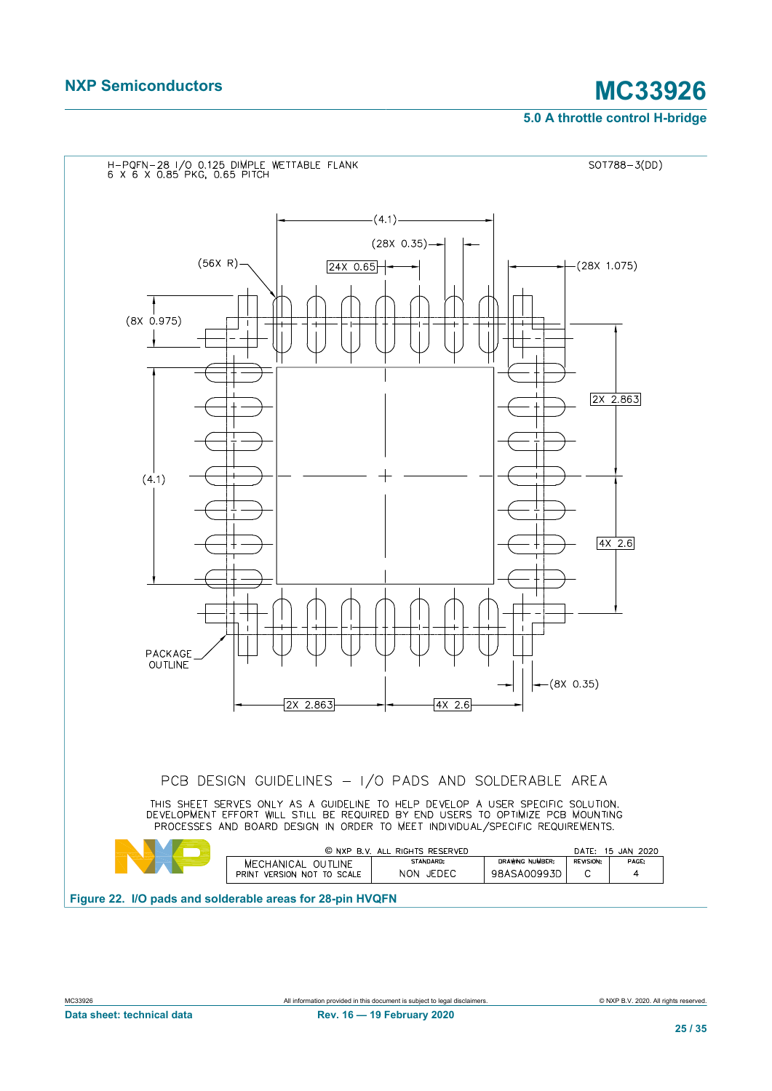<span id="page-24-0"></span>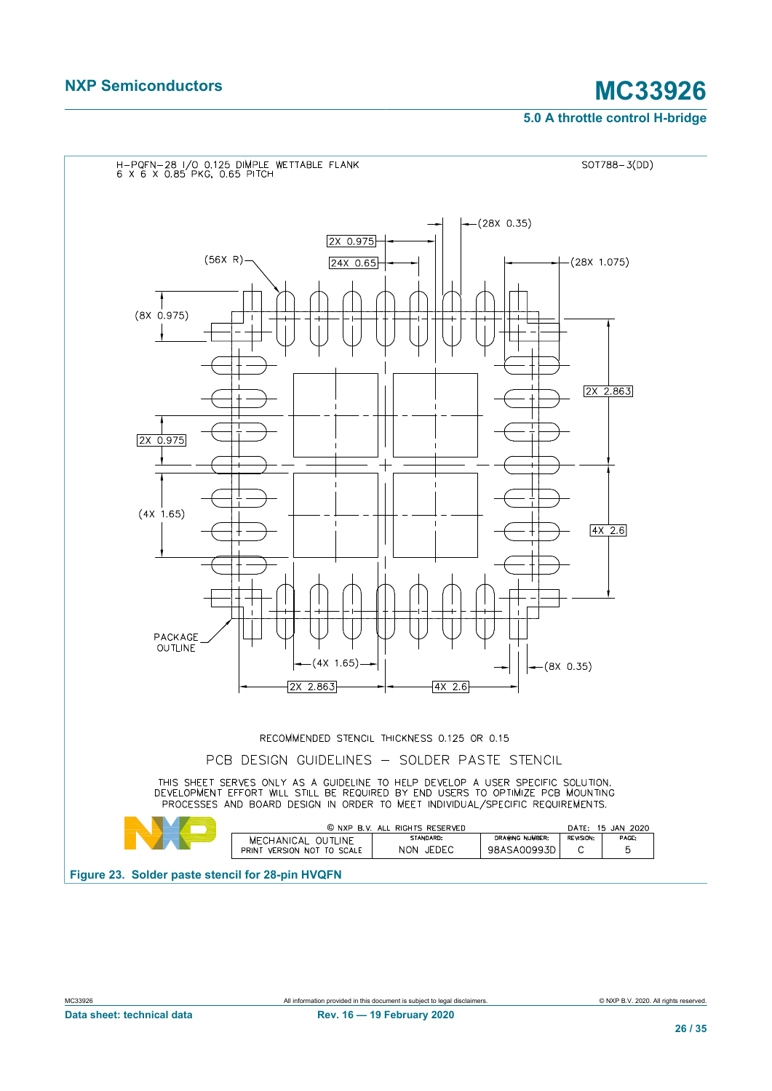<span id="page-25-0"></span>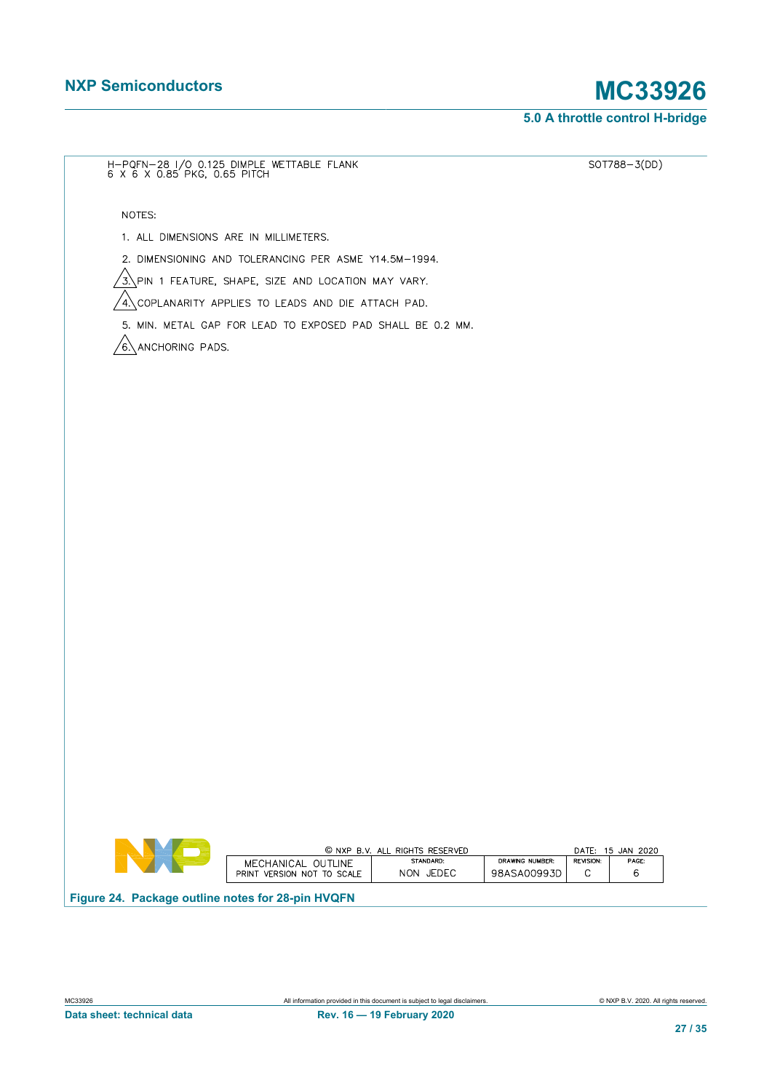$\overline{SOT788 - 3(DD)}$ 

<span id="page-26-0"></span>H-PQFN-28 I/O 0.125 DIMPLE WETTABLE FLANK<br>6 X 6 X 0.85 PKG, 0.65 PITCH NOTES: 1. ALL DIMENSIONS ARE IN MILLIMETERS. 2. DIMENSIONING AND TOLERANCING PER ASME Y14.5M-1994.  $\sqrt{3}$  PIN 1 FEATURE, SHAPE, SIZE AND LOCATION MAY VARY.  $\sqrt{4}$  coplanarity applies to leads and die attach pad. 5. MIN. METAL GAP FOR LEAD TO EXPOSED PAD SHALL BE 0.2 MM.  $\sqrt{6}$  ANCHORING PADS. © NXP B.V. ALL RIGHTS RESERVED DATE: 15 JAN 2020 MECHANICAL OUTLINE<br>PRINT VERSION NOT TO SCALE DRAWING NUMBER: STANDARD: REVISION: PAGE: NON JEDEC 98ASA00993D  $\mathsf C$  $\epsilon$ 

**Figure 24. Package outline notes for 28-pin HVQFN**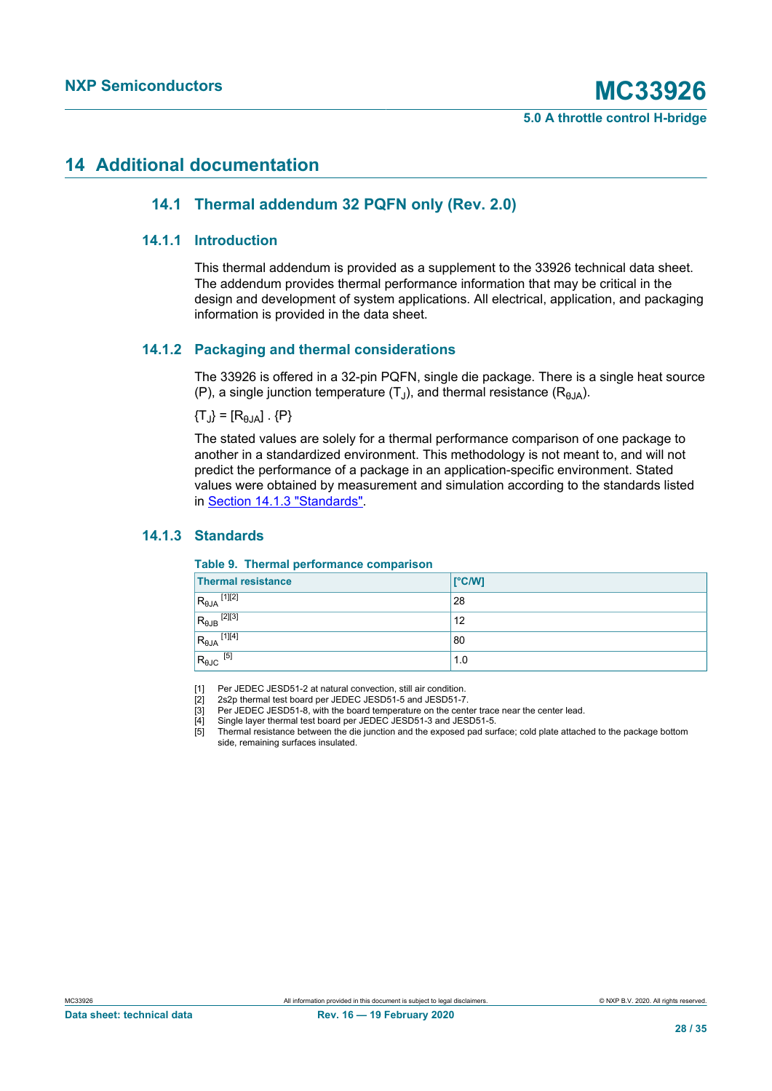## <span id="page-27-7"></span>**14 Additional documentation**

### <span id="page-27-8"></span><span id="page-27-5"></span><span id="page-27-4"></span><span id="page-27-3"></span><span id="page-27-2"></span><span id="page-27-1"></span>**14.1 Thermal addendum 32 PQFN only (Rev. 2.0)**

#### **14.1.1 Introduction**

<span id="page-27-9"></span>This thermal addendum is provided as a supplement to the 33926 technical data sheet. The addendum provides thermal performance information that may be critical in the design and development of system applications. All electrical, application, and packaging information is provided in the data sheet.

#### **14.1.2 Packaging and thermal considerations**

<span id="page-27-10"></span>The 33926 is offered in a 32-pin PQFN, single die package. There is a single heat source (P), a single junction temperature (T<sub>J</sub>), and thermal resistance (R<sub>θJA</sub>).

 $\{T_J\} = [R_{\theta JA}] \ . \ \{P\}$ 

The stated values are solely for a thermal performance comparison of one package to another in a standardized environment. This methodology is not meant to, and will not predict the performance of a package in an application-specific environment. Stated values were obtained by measurement and simulation according to the standards listed in [Section 14.1.3 "Standards".](#page-27-0)

#### **14.1.3 Standards**

#### <span id="page-27-6"></span><span id="page-27-0"></span>**Table 9. Thermal performance comparison**

| <b>Thermal resistance</b>         | $\Gamma$ <sup>o</sup> $\mathsf{C}/\mathsf{W}$ |
|-----------------------------------|-----------------------------------------------|
| $R_{\theta JA}$ <sup>[1][2]</sup> | 28                                            |
| $R_{\theta$ JB <sup>[2][3]</sup>  | 12                                            |
| $R_{\theta JA}$ <sup>[1][4]</sup> | 80                                            |
| $R_{\theta$ JC [5]                | 1.0                                           |

[1] Per JEDEC JESD51-2 at natural convection, still air condition.

[2] 2s2p thermal test board per JEDEC JESD51-5 and JESD51-7. [3] Per JEDEC JESD51-8, with the board temperature on the center trace near the center lead.

[4] Single layer thermal test board per JEDEC JESD51-3 and JESD51-5.

[5] Thermal resistance between the die junction and the exposed pad surface; cold plate attached to the package bottom side, remaining surfaces insulated.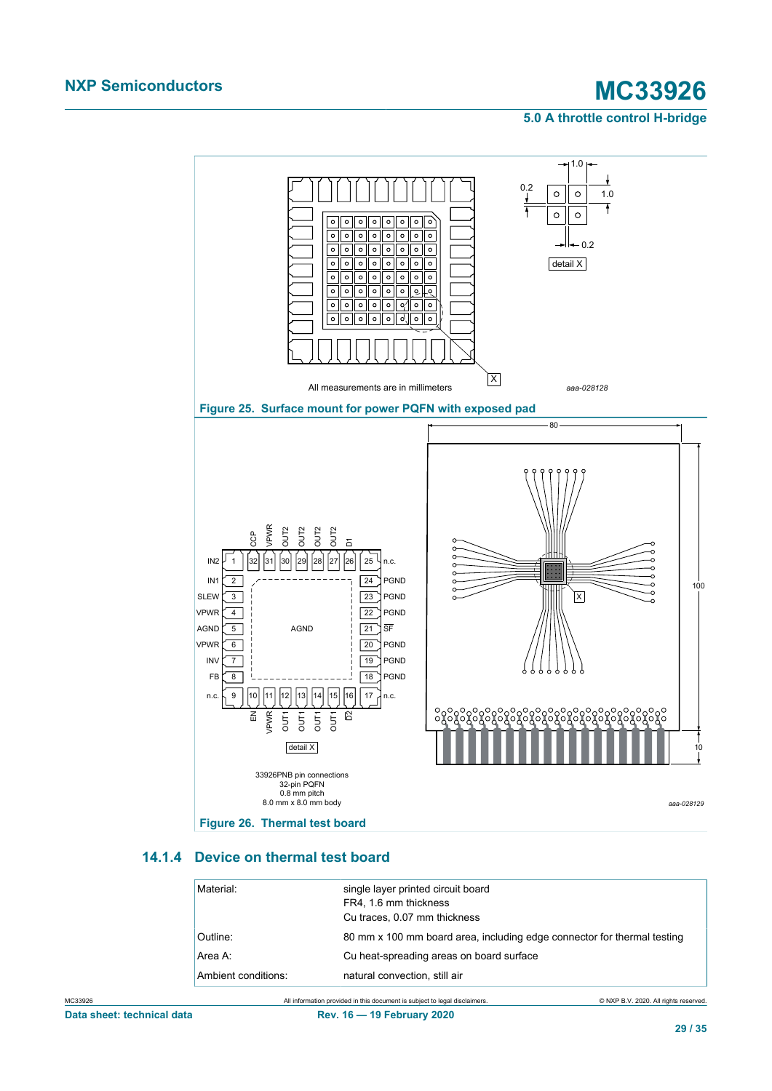<span id="page-28-1"></span><span id="page-28-0"></span>

#### **14.1.4 Device on thermal test board**

<span id="page-28-2"></span>

| Material:           | single layer printed circuit board                                      |
|---------------------|-------------------------------------------------------------------------|
|                     | FR4, 1.6 mm thickness                                                   |
|                     | Cu traces, 0.07 mm thickness                                            |
| Outline:            | 80 mm x 100 mm board area, including edge connector for thermal testing |
| Area A:             | Cu heat-spreading areas on board surface                                |
| Ambient conditions: | natural convection, still air                                           |
|                     |                                                                         |

MC33926 All information provided in this document is subject to legal disclaimers. © NXP B.V. 2020. All rights reserved. Data sheet: technical data **Rev. 16 — 19 February 2020**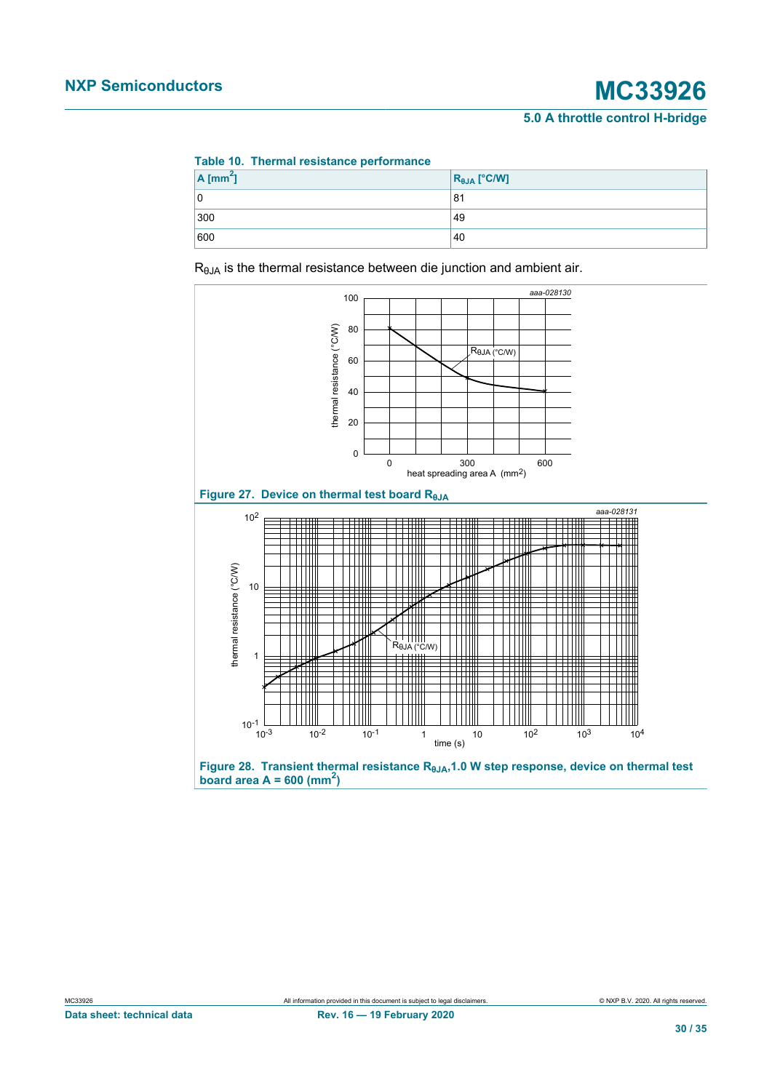| Table 10. Thermal resistance performance |                                 |  |
|------------------------------------------|---------------------------------|--|
| $A$ [mm <sup>2</sup> ]                   | $R_{\theta$ JA $[^{\circ}$ C/W] |  |
| l 0                                      | 81                              |  |
| 300                                      | 49                              |  |
| 600                                      | 40                              |  |

<span id="page-29-0"></span>**Table 10. Thermal resistance performance**

 $R<sub>θJA</sub>$  is the thermal resistance between die junction and ambient air.

<span id="page-29-2"></span><span id="page-29-1"></span>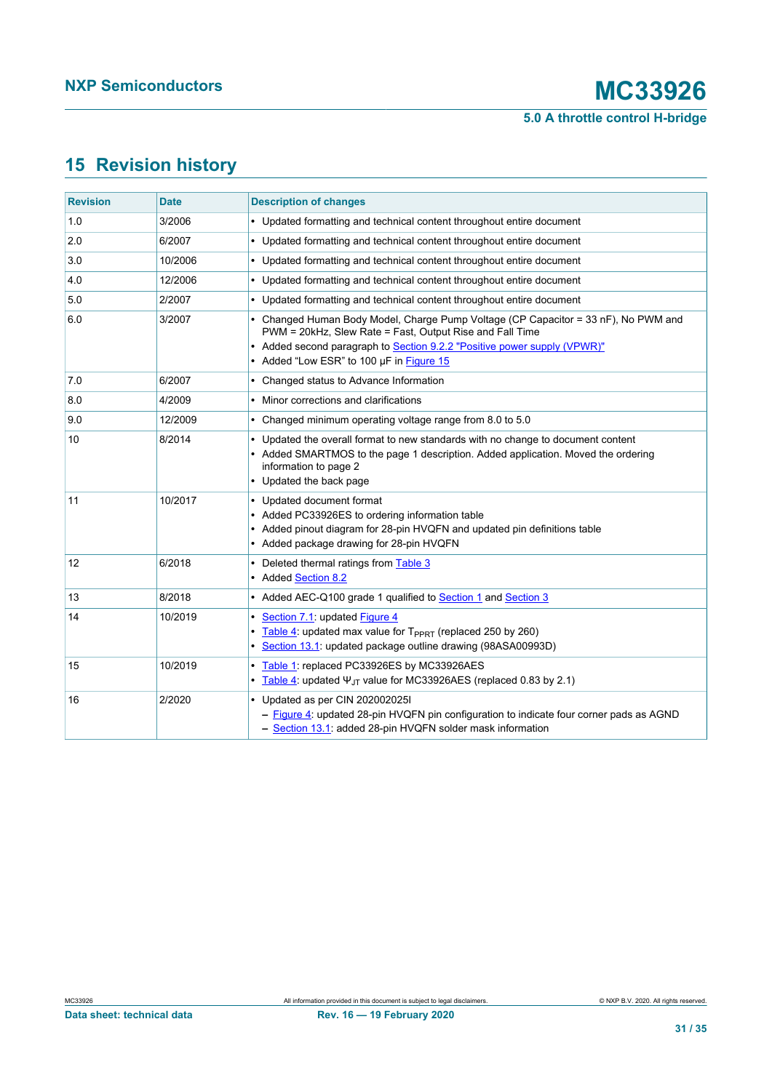## <span id="page-30-0"></span>**15 Revision history**

| <b>Revision</b> | <b>Date</b> | <b>Description of changes</b>                                                                                                                                                                                                                                          |
|-----------------|-------------|------------------------------------------------------------------------------------------------------------------------------------------------------------------------------------------------------------------------------------------------------------------------|
| 1.0             | 3/2006      | • Updated formatting and technical content throughout entire document                                                                                                                                                                                                  |
| 2.0             | 6/2007      | • Updated formatting and technical content throughout entire document                                                                                                                                                                                                  |
| 3.0             | 10/2006     | • Updated formatting and technical content throughout entire document                                                                                                                                                                                                  |
| 4.0             | 12/2006     | • Updated formatting and technical content throughout entire document                                                                                                                                                                                                  |
| 5.0             | 2/2007      | • Updated formatting and technical content throughout entire document                                                                                                                                                                                                  |
| 6.0             | 3/2007      | • Changed Human Body Model, Charge Pump Voltage (CP Capacitor = 33 nF), No PWM and<br>PWM = 20kHz, Slew Rate = Fast, Output Rise and Fall Time<br>• Added second paragraph to Section 9.2.2 "Positive power supply (VPWR)"<br>• Added "Low ESR" to 100 µF in Figure 15 |
| 7.0             | 6/2007      | • Changed status to Advance Information                                                                                                                                                                                                                                |
| 8.0             | 4/2009      | • Minor corrections and clarifications                                                                                                                                                                                                                                 |
| 9.0             | 12/2009     | • Changed minimum operating voltage range from 8.0 to 5.0                                                                                                                                                                                                              |
| 10              | 8/2014      | • Updated the overall format to new standards with no change to document content<br>• Added SMARTMOS to the page 1 description. Added application. Moved the ordering<br>information to page 2<br>• Updated the back page                                              |
| 11              | 10/2017     | • Updated document format<br>• Added PC33926ES to ordering information table<br>• Added pinout diagram for 28-pin HVQFN and updated pin definitions table<br>• Added package drawing for 28-pin HVQFN                                                                  |
| 12              | 6/2018      | • Deleted thermal ratings from Table 3<br>• Added Section 8.2                                                                                                                                                                                                          |
| 13              | 8/2018      | • Added AEC-Q100 grade 1 qualified to Section 1 and Section 3                                                                                                                                                                                                          |
| 14              | 10/2019     | • Section 7.1: updated Figure 4<br>• Table 4: updated max value for $T_{PPRT}$ (replaced 250 by 260)<br>• Section 13.1: updated package outline drawing (98ASA00993D)                                                                                                  |
| 15              | 10/2019     | • Table 1: replaced PC33926ES by MC33926AES<br>• Table 4: updated $\Psi_{\text{JT}}$ value for MC33926AES (replaced 0.83 by 2.1)                                                                                                                                       |
| 16              | 2/2020      | • Updated as per CIN 202002025I<br>- Figure 4: updated 28-pin HVQFN pin configuration to indicate four corner pads as AGND<br>- Section 13.1. added 28-pin HVQFN solder mask information                                                                               |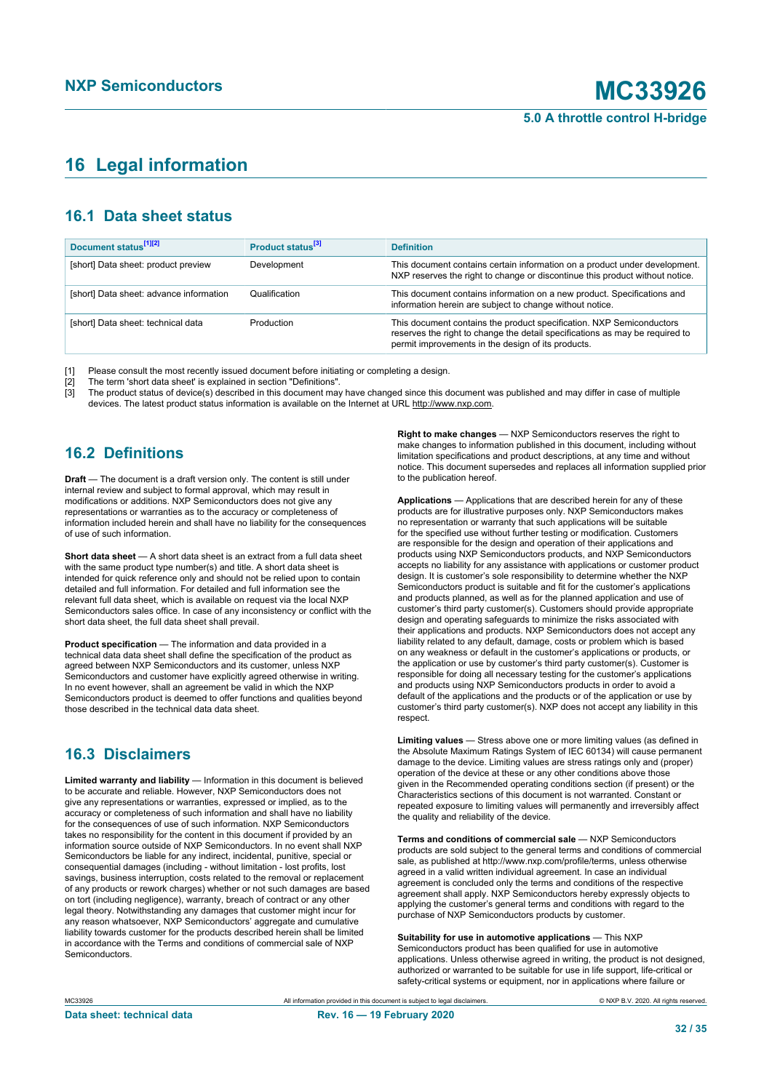## <span id="page-31-0"></span>**16 Legal information**

### **16.1 Data sheet status**

| Document status <sup>[1][2]</sup>       | Product status <sup>[3]</sup> | <b>Definition</b>                                                                                                                                                                                          |
|-----------------------------------------|-------------------------------|------------------------------------------------------------------------------------------------------------------------------------------------------------------------------------------------------------|
| [short] Data sheet: product preview     | Development                   | This document contains certain information on a product under development.<br>NXP reserves the right to change or discontinue this product without notice.                                                 |
| [short] Data sheet: advance information | Qualification                 | This document contains information on a new product. Specifications and<br>information herein are subject to change without notice.                                                                        |
| [short] Data sheet: technical data      | Production                    | This document contains the product specification. NXP Semiconductors<br>reserves the right to change the detail specifications as may be required to<br>permit improvements in the design of its products. |

[1] Please consult the most recently issued document before initiating or completing a design.

[2] The term 'short data sheet' is explained in section "Definitions".<br>[3] The product status of device(s) described in this document may

The product status of device(s) described in this document may have changed since this document was published and may differ in case of multiple devices. The latest product status information is available on the Internet at URL http://www.nxp.com.

### **16.2 Definitions**

**Draft** — The document is a draft version only. The content is still under internal review and subject to formal approval, which may result in modifications or additions. NXP Semiconductors does not give any representations or warranties as to the accuracy or completeness of information included herein and shall have no liability for the consequences of use of such information.

**Short data sheet** — A short data sheet is an extract from a full data sheet with the same product type number(s) and title. A short data sheet is intended for quick reference only and should not be relied upon to contain detailed and full information. For detailed and full information see the relevant full data sheet, which is available on request via the local NXP Semiconductors sales office. In case of any inconsistency or conflict with the short data sheet, the full data sheet shall prevail.

**Product specification** — The information and data provided in a technical data data sheet shall define the specification of the product as agreed between NXP Semiconductors and its customer, unless NXP Semiconductors and customer have explicitly agreed otherwise in writing. In no event however, shall an agreement be valid in which the NXP Semiconductors product is deemed to offer functions and qualities beyond those described in the technical data data sheet.

## **16.3 Disclaimers**

**Limited warranty and liability** — Information in this document is believed to be accurate and reliable. However, NXP Semiconductors does not give any representations or warranties, expressed or implied, as to the accuracy or completeness of such information and shall have no liability for the consequences of use of such information. NXP Semiconductors takes no responsibility for the content in this document if provided by an information source outside of NXP Semiconductors. In no event shall NXP Semiconductors be liable for any indirect, incidental, punitive, special or consequential damages (including - without limitation - lost profits, lost savings, business interruption, costs related to the removal or replacement of any products or rework charges) whether or not such damages are based on tort (including negligence), warranty, breach of contract or any other legal theory. Notwithstanding any damages that customer might incur for any reason whatsoever, NXP Semiconductors' aggregate and cumulative liability towards customer for the products described herein shall be limited in accordance with the Terms and conditions of commercial sale of NXP **Semiconductors** 

**Right to make changes** — NXP Semiconductors reserves the right to make changes to information published in this document, including without limitation specifications and product descriptions, at any time and without notice. This document supersedes and replaces all information supplied prior to the publication hereof.

**Applications** — Applications that are described herein for any of these products are for illustrative purposes only. NXP Semiconductors makes no representation or warranty that such applications will be suitable for the specified use without further testing or modification. Customers are responsible for the design and operation of their applications and products using NXP Semiconductors products, and NXP Semiconductors accepts no liability for any assistance with applications or customer product design. It is customer's sole responsibility to determine whether the NXP Semiconductors product is suitable and fit for the customer's applications and products planned, as well as for the planned application and use of customer's third party customer(s). Customers should provide appropriate design and operating safeguards to minimize the risks associated with their applications and products. NXP Semiconductors does not accept any liability related to any default, damage, costs or problem which is based on any weakness or default in the customer's applications or products, or the application or use by customer's third party customer(s). Customer is responsible for doing all necessary testing for the customer's applications and products using NXP Semiconductors products in order to avoid a default of the applications and the products or of the application or use by customer's third party customer(s). NXP does not accept any liability in this respect.

**Limiting values** — Stress above one or more limiting values (as defined in the Absolute Maximum Ratings System of IEC 60134) will cause permanent damage to the device. Limiting values are stress ratings only and (proper) operation of the device at these or any other conditions above those given in the Recommended operating conditions section (if present) or the Characteristics sections of this document is not warranted. Constant or repeated exposure to limiting values will permanently and irreversibly affect the quality and reliability of the device.

**Terms and conditions of commercial sale** — NXP Semiconductors products are sold subject to the general terms and conditions of commercial sale, as published at http://www.nxp.com/profile/terms, unless otherwise agreed in a valid written individual agreement. In case an individual agreement is concluded only the terms and conditions of the respective agreement shall apply. NXP Semiconductors hereby expressly objects to applying the customer's general terms and conditions with regard to the purchase of NXP Semiconductors products by customer.

**Suitability for use in automotive applications** — This NXP Semiconductors product has been qualified for use in automotive applications. Unless otherwise agreed in writing, the product is not designed, authorized or warranted to be suitable for use in life support, life-critical or safety-critical systems or equipment, nor in applications where failure or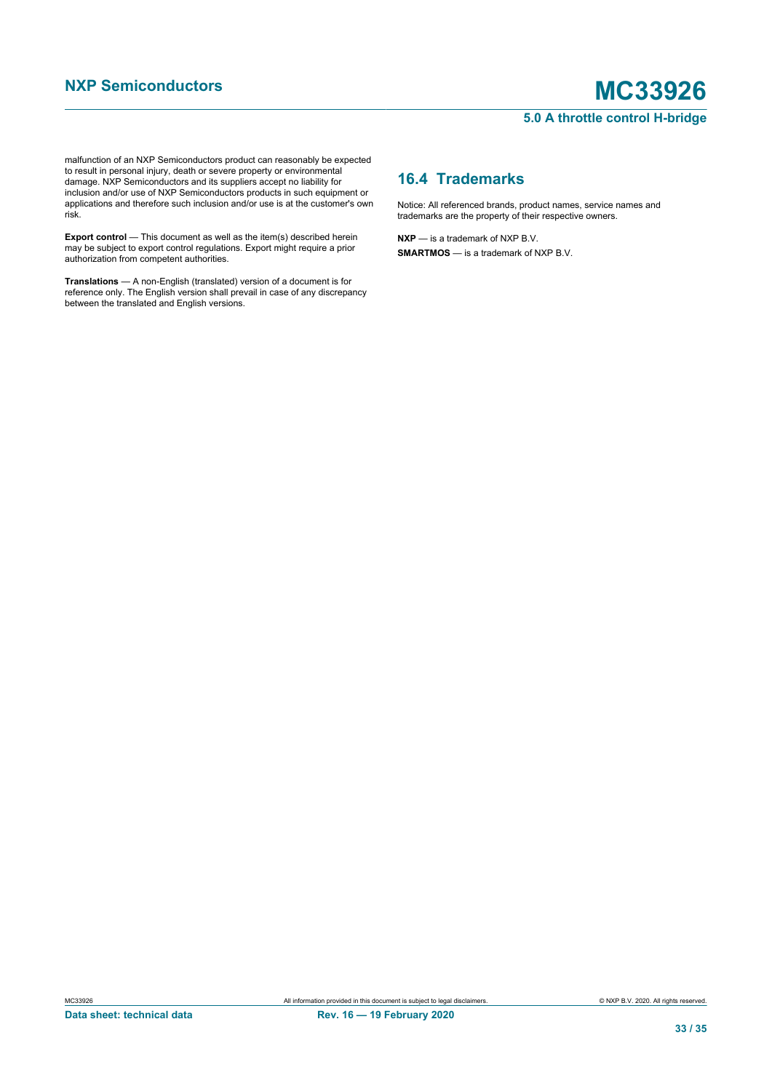## **NXP Semiconductors MC33926**

#### **5.0 A throttle control H-bridge**

malfunction of an NXP Semiconductors product can reasonably be expected to result in personal injury, death or severe property or environmental damage. NXP Semiconductors and its suppliers accept no liability for inclusion and/or use of NXP Semiconductors products in such equipment or applications and therefore such inclusion and/or use is at the customer's own risk.

**Export control** — This document as well as the item(s) described herein may be subject to export control regulations. Export might require a prior authorization from competent authorities.

**Translations** — A non-English (translated) version of a document is for reference only. The English version shall prevail in case of any discrepancy between the translated and English versions.

### **16.4 Trademarks**

Notice: All referenced brands, product names, service names and trademarks are the property of their respective owners.

**NXP** — is a trademark of NXP B.V. **SMARTMOS** — is a trademark of NXP B.V.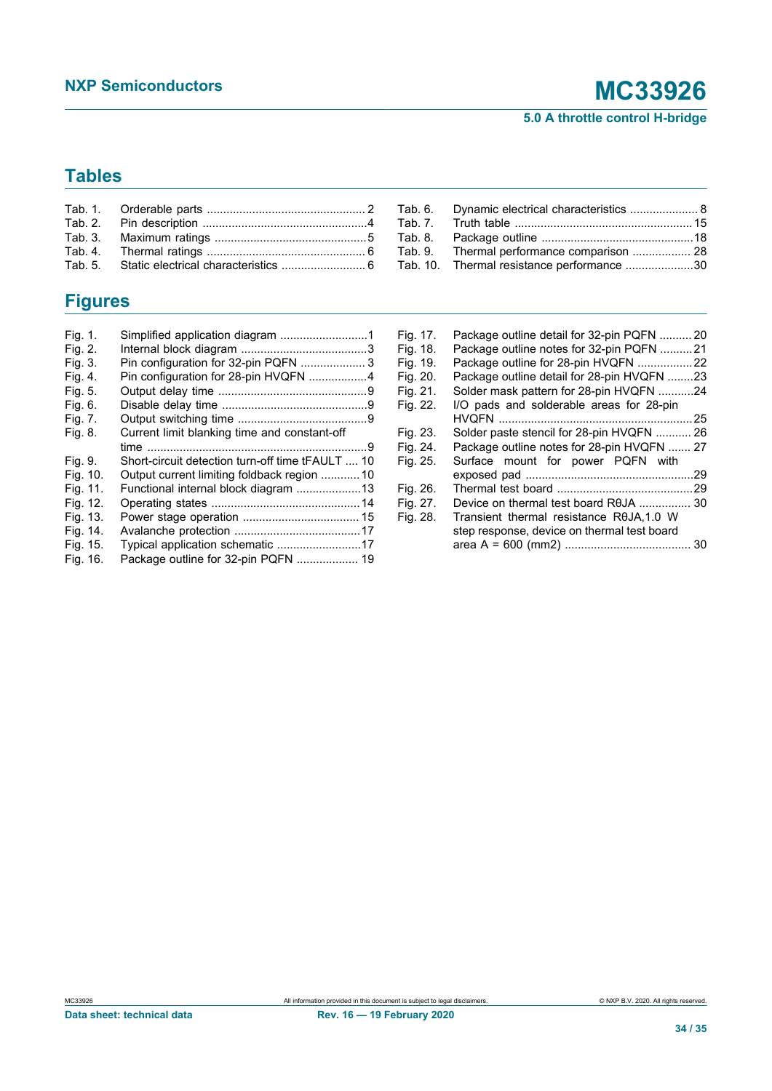## **Tables**

| Tab. 6. Dynamic electrical characteristics  8 |  |
|-----------------------------------------------|--|
|                                               |  |
|                                               |  |
| Tab. 9. Thermal performance comparison  28    |  |
| Tab. 10. Thermal resistance performance 30    |  |
|                                               |  |

## **Figures**

| Fig. 1.  |                                                  |
|----------|--------------------------------------------------|
| Fig. 2.  |                                                  |
| Fig. 3.  | Pin configuration for 32-pin PQFN  3             |
| Fig. 4.  | Pin configuration for 28-pin HVQFN 4             |
| Fig. 5.  |                                                  |
| Fig. 6.  |                                                  |
| Fig. 7.  |                                                  |
| Fig. 8.  | Current limit blanking time and constant-off     |
|          |                                                  |
| Fig. 9.  | Short-circuit detection turn-off time tFAULT  10 |
| Fig. 10. | Output current limiting foldback region 10       |
| Fig. 11. | Functional internal block diagram 13             |
| Fig. 12. |                                                  |
| Fig. 13. |                                                  |
| Fig. 14. |                                                  |
| Fig. 15. | Typical application schematic 17                 |
| Fig. 16. | Package outline for 32-pin PQFN  19              |
|          |                                                  |

| Fig. 17. | Package outline detail for 32-pin PQFN  20  |     |
|----------|---------------------------------------------|-----|
| Fig. 18. | Package outline notes for 32-pin PQFN 21    |     |
| Fig. 19. | Package outline for 28-pin HVQFN 22         |     |
| Fig. 20. | Package outline detail for 28-pin HVQFN     | .23 |
| Fig. 21. | Solder mask pattern for 28-pin HVQFN 24     |     |
| Fig. 22. | I/O pads and solderable areas for 28-pin    |     |
|          |                                             | 25  |
| Fig. 23. | Solder paste stencil for 28-pin HVQFN  26   |     |
| Fig. 24. | Package outline notes for 28-pin HVQFN  27  |     |
| Fig. 25. | Surface mount for power PQFN with           |     |
|          |                                             | .29 |
| Fig. 26. |                                             |     |
| Fig. 27. | Device on thermal test board R0JA  30       |     |
| Fig. 28. | Transient thermal resistance R0JA.1.0 W     |     |
|          | step response, device on thermal test board |     |
|          |                                             |     |
|          |                                             |     |